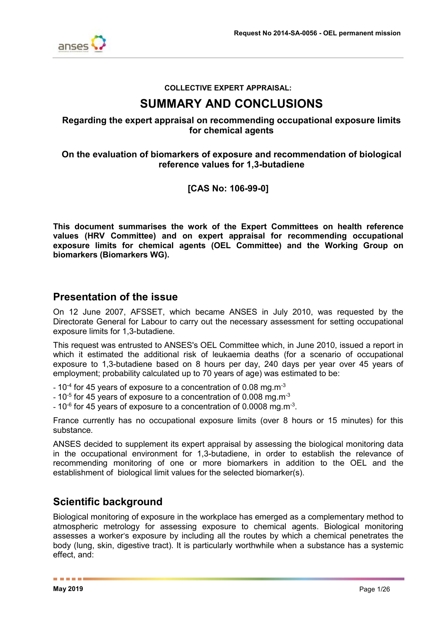

### **COLLECTIVE EXPERT APPRAISAL:**

# **SUMMARY AND CONCLUSIONS**

## **Regarding the expert appraisal on recommending occupational exposure limits for chemical agents**

## **On the evaluation of biomarkers of exposure and recommendation of biological reference values for 1,3-butadiene**

## **[CAS No: 106-99-0]**

**This document summarises the work of the Expert Committees on health reference values (HRV Committee) and on expert appraisal for recommending occupational exposure limits for chemical agents (OEL Committee) and the Working Group on biomarkers (Biomarkers WG).**

# **Presentation of the issue**

On 12 June 2007, AFSSET, which became ANSES in July 2010, was requested by the Directorate General for Labour to carry out the necessary assessment for setting occupational exposure limits for 1,3-butadiene.

This request was entrusted to ANSES's OEL Committee which, in June 2010, issued a report in which it estimated the additional risk of leukaemia deaths (for a scenario of occupational exposure to 1,3-butadiene based on 8 hours per day, 240 days per year over 45 years of employment; probability calculated up to 70 years of age) was estimated to be:

- $10^{-4}$  for 45 years of exposure to a concentration of 0.08 mg.m<sup>-3</sup>
- $10^{-5}$  for 45 years of exposure to a concentration of 0.008 mg.m<sup>-3</sup>
- 10 $^{\circ}$  for 45 years of exposure to a concentration of 0.0008 mg.m $^{\text{-3}}$ .

France currently has no occupational exposure limits (over 8 hours or 15 minutes) for this substance.

ANSES decided to supplement its expert appraisal by assessing the biological monitoring data in the occupational environment for 1,3-butadiene, in order to establish the relevance of recommending monitoring of one or more biomarkers in addition to the OEL and the establishment of biological limit values for the selected biomarker(s).

# **Scientific background**

Biological monitoring of exposure in the workplace has emerged as a complementary method to atmospheric metrology for assessing exposure to chemical agents. Biological monitoring assesses a worker's exposure by including all the routes by which a chemical penetrates the body (lung, skin, digestive tract). It is particularly worthwhile when a substance has a systemic effect, and:

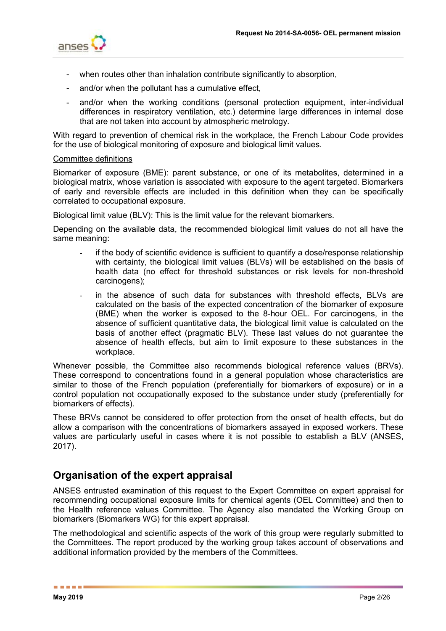

- when routes other than inhalation contribute significantly to absorption,
- and/or when the pollutant has a cumulative effect,
- and/or when the working conditions (personal protection equipment, inter-individual differences in respiratory ventilation, etc.) determine large differences in internal dose that are not taken into account by atmospheric metrology.

With regard to prevention of chemical risk in the workplace, the French Labour Code provides for the use of biological monitoring of exposure and biological limit values.

#### Committee definitions

Biomarker of exposure (BME): parent substance, or one of its metabolites, determined in a biological matrix, whose variation is associated with exposure to the agent targeted. Biomarkers of early and reversible effects are included in this definition when they can be specifically correlated to occupational exposure.

Biological limit value (BLV): This is the limit value for the relevant biomarkers.

Depending on the available data, the recommended biological limit values do not all have the same meaning:

- if the body of scientific evidence is sufficient to quantify a dose/response relationship with certainty, the biological limit values (BLVs) will be established on the basis of health data (no effect for threshold substances or risk levels for non-threshold carcinogens);
- in the absence of such data for substances with threshold effects, BLVs are calculated on the basis of the expected concentration of the biomarker of exposure (BME) when the worker is exposed to the 8-hour OEL. For carcinogens, in the absence of sufficient quantitative data, the biological limit value is calculated on the basis of another effect (pragmatic BLV). These last values do not guarantee the absence of health effects, but aim to limit exposure to these substances in the workplace.

Whenever possible, the Committee also recommends biological reference values (BRVs). These correspond to concentrations found in a general population whose characteristics are similar to those of the French population (preferentially for biomarkers of exposure) or in a control population not occupationally exposed to the substance under study (preferentially for biomarkers of effects).

These BRVs cannot be considered to offer protection from the onset of health effects, but do allow a comparison with the concentrations of biomarkers assayed in exposed workers. These values are particularly useful in cases where it is not possible to establish a BLV (ANSES, 2017).

# **Organisation of the expert appraisal**

ANSES entrusted examination of this request to the Expert Committee on expert appraisal for recommending occupational exposure limits for chemical agents (OEL Committee) and then to the Health reference values Committee. The Agency also mandated the Working Group on biomarkers (Biomarkers WG) for this expert appraisal.

The methodological and scientific aspects of the work of this group were regularly submitted to the Committees. The report produced by the working group takes account of observations and additional information provided by the members of the Committees.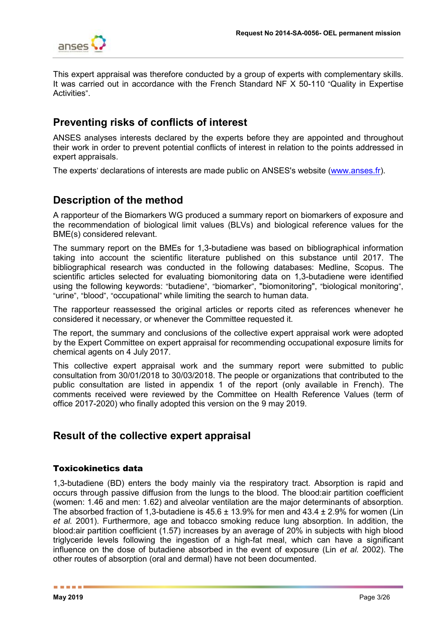

This expert appraisal was therefore conducted by a group of experts with complementary skills. It was carried out in accordance with the French Standard NF X 50-110 "Quality in Expertise Activities".

# **Preventing risks of conflicts of interest**

ANSES analyses interests declared by the experts before they are appointed and throughout their work in order to prevent potential conflicts of interest in relation to the points addressed in expert appraisals.

The experts' declarations of interests are made public on ANSES's website [\(www.anses.fr\)](http://www.anses.fr/).

# **Description of the method**

A rapporteur of the Biomarkers WG produced a summary report on biomarkers of exposure and the recommendation of biological limit values (BLVs) and biological reference values for the BME(s) considered relevant.

The summary report on the BMEs for 1,3-butadiene was based on bibliographical information taking into account the scientific literature published on this substance until 2017. The bibliographical research was conducted in the following databases: Medline, Scopus. The scientific articles selected for evaluating biomonitoring data on 1,3-butadiene were identified using the following keywords: "butadiene", "biomarker", "biomonitoring", "biological monitoring", "urine", "blood", "occupational" while limiting the search to human data.

The rapporteur reassessed the original articles or reports cited as references whenever he considered it necessary, or whenever the Committee requested it.

The report, the summary and conclusions of the collective expert appraisal work were adopted by the Expert Committee on expert appraisal for recommending occupational exposure limits for chemical agents on 4 July 2017.

This collective expert appraisal work and the summary report were submitted to public consultation from 30/01/2018 to 30/03/2018. The people or organizations that contributed to the public consultation are listed in appendix 1 of the report (only available in French). The comments received were reviewed by the Committee on Health Reference Values (term of office 2017-2020) who finally adopted this version on the 9 may 2019.

# **Result of the collective expert appraisal**

## Toxicokinetics data

1,3-butadiene (BD) enters the body mainly via the respiratory tract. Absorption is rapid and occurs through passive diffusion from the lungs to the blood. The blood:air partition coefficient (women: 1.46 and men: 1.62) and alveolar ventilation are the major determinants of absorption. The absorbed fraction of 1,3-butadiene is  $45.6 \pm 13.9\%$  for men and  $43.4 \pm 2.9\%$  for women (Lin *et al.* 2001). Furthermore, age and tobacco smoking reduce lung absorption. In addition, the blood:air partition coefficient (1.57) increases by an average of 20% in subjects with high blood triglyceride levels following the ingestion of a high-fat meal, which can have a significant influence on the dose of butadiene absorbed in the event of exposure (Lin *et al.* 2002). The other routes of absorption (oral and dermal) have not been documented.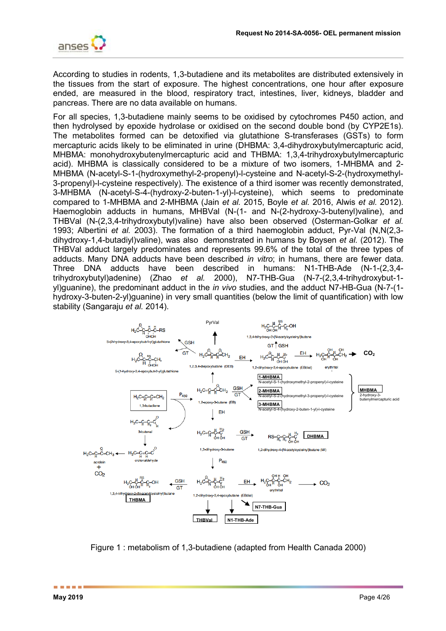

According to studies in rodents, 1,3-butadiene and its metabolites are distributed extensively in the tissues from the start of exposure. The highest concentrations, one hour after exposure ended, are measured in the blood, respiratory tract, intestines, liver, kidneys, bladder and pancreas. There are no data available on humans.

For all species, 1,3-butadiene mainly seems to be oxidised by cytochromes P450 action, and then hydrolysed by epoxide hydrolase or oxidised on the second double bond (by CYP2E1s). The metabolites formed can be detoxified via glutathione S-transferases (GSTs) to form mercapturic acids likely to be eliminated in urine (DHBMA: 3,4-dihydroxybutylmercapturic acid, MHBMA: monohydroxybutenylmercapturic acid and THBMA: 1,3,4-trihydroxybutylmercapturic acid). MHBMA is classically considered to be a mixture of two isomers, 1-MHBMA and 2- MHBMA (N-acetyl-S-1-(hydroxymethyl-2-propenyl)-l-cysteine and N-acetyl-S-2-(hydroxymethyl-3-propenyl)-l-cysteine respectively). The existence of a third isomer was recently demonstrated, 3-MHBMA (N-acetyl-S-4-(hydroxy-2-buten-1-yl)-l-cysteine), which seems to predominate compared to 1-MHBMA and 2-MHBMA (Jain *et al.* 2015, Boyle *et al.* 2016, Alwis *et al.* 2012). Haemoglobin adducts in humans, MHBVal (N-(1- and N-(2-hydroxy-3-butenyl)valine), and THBVal (N-(2,3,4-trihydroxybutyl)valine) have also been observed (Osterman-Golkar *et al.* 1993; Albertini *et al.* 2003). The formation of a third haemoglobin adduct, Pyr-Val (N,N(2,3 dihydroxy-1,4-butadiyl)valine), was also demonstrated in humans by Boysen *et al.* (2012). The THBVal adduct largely predominates and represents 99.6% of the total of the three types of adducts. Many DNA adducts have been described *in vitro*; in humans, there are fewer data. Three DNA adducts have been described in humans: N1-THB-Ade (N-1-(2,3,4 trihydroxybutyl)adenine) (Zhao *et al.* 2000), N7-THB-Gua (N-7-(2,3,4-trihydroxybut-1 yl)guanine), the predominant adduct in the *in vivo* studies, and the adduct N7-HB-Gua (N-7-(1 hydroxy-3-buten-2-yl)guanine) in very small quantities (below the limit of quantification) with low stability (Sangaraju *et al.* 2014).



Figure 1 : metabolism of 1,3-butadiene (adapted from Health Canada 2000)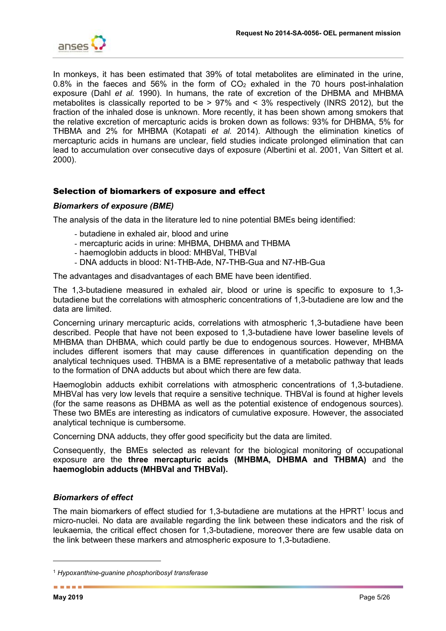

In monkeys, it has been estimated that 39% of total metabolites are eliminated in the urine, 0.8% in the faeces and 56% in the form of  $CO<sub>2</sub>$  exhaled in the 70 hours post-inhalation exposure (Dahl *et al.* 1990). In humans, the rate of excretion of the DHBMA and MHBMA metabolites is classically reported to be > 97% and < 3% respectively (INRS 2012), but the fraction of the inhaled dose is unknown. More recently, it has been shown among smokers that the relative excretion of mercapturic acids is broken down as follows: 93% for DHBMA, 5% for THBMA and 2% for MHBMA (Kotapati *et al.* 2014). Although the elimination kinetics of mercapturic acids in humans are unclear, field studies indicate prolonged elimination that can lead to accumulation over consecutive days of exposure (Albertini et al. 2001, Van Sittert et al. 2000).

## Selection of biomarkers of exposure and effect

#### *Biomarkers of exposure (BME)*

The analysis of the data in the literature led to nine potential BMEs being identified:

- butadiene in exhaled air, blood and urine
- mercapturic acids in urine: MHBMA, DHBMA and THBMA
- haemoglobin adducts in blood: MHBVal, THBVal
- DNA adducts in blood: N1-THB-Ade, N7-THB-Gua and N7-HB-Gua

The advantages and disadvantages of each BME have been identified.

The 1,3-butadiene measured in exhaled air, blood or urine is specific to exposure to 1,3 butadiene but the correlations with atmospheric concentrations of 1,3-butadiene are low and the data are limited.

Concerning urinary mercapturic acids, correlations with atmospheric 1,3-butadiene have been described. People that have not been exposed to 1,3-butadiene have lower baseline levels of MHBMA than DHBMA, which could partly be due to endogenous sources. However, MHBMA includes different isomers that may cause differences in quantification depending on the analytical techniques used. THBMA is a BME representative of a metabolic pathway that leads to the formation of DNA adducts but about which there are few data.

Haemoglobin adducts exhibit correlations with atmospheric concentrations of 1,3-butadiene. MHBVal has very low levels that require a sensitive technique. THBVal is found at higher levels (for the same reasons as DHBMA as well as the potential existence of endogenous sources). These two BMEs are interesting as indicators of cumulative exposure. However, the associated analytical technique is cumbersome.

Concerning DNA adducts, they offer good specificity but the data are limited.

Consequently, the BMEs selected as relevant for the biological monitoring of occupational exposure are the **three mercapturic acids (MHBMA, DHBMA and THBMA)** and the **haemoglobin adducts (MHBVal and THBVal).**

## *Biomarkers of effect*

The main biomarkers of effect studied for 1,3-butadiene are mutations at the HPRT<sup>1</sup> locus and micro-nuclei. No data are available regarding the link between these indicators and the risk of leukaemia, the critical effect chosen for 1,3-butadiene, moreover there are few usable data on the link between these markers and atmospheric exposure to 1,3-butadiene.

-

<sup>1</sup> *Hypoxanthine-guanine phosphoribosyl transferase*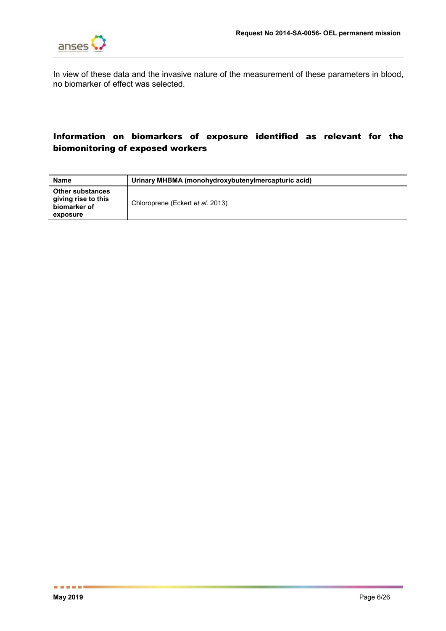

In view of these data and the invasive nature of the measurement of these parameters in blood, no biomarker of effect was selected.

# Information on biomarkers of exposure identified as relevant for the biomonitoring of exposed workers

| <b>Name</b>                                                                | Urinary MHBMA (monohydroxybutenylmercapturic acid) |
|----------------------------------------------------------------------------|----------------------------------------------------|
| <b>Other substances</b><br>giving rise to this<br>biomarker of<br>exposure | Chloroprene (Eckert et al. 2013)                   |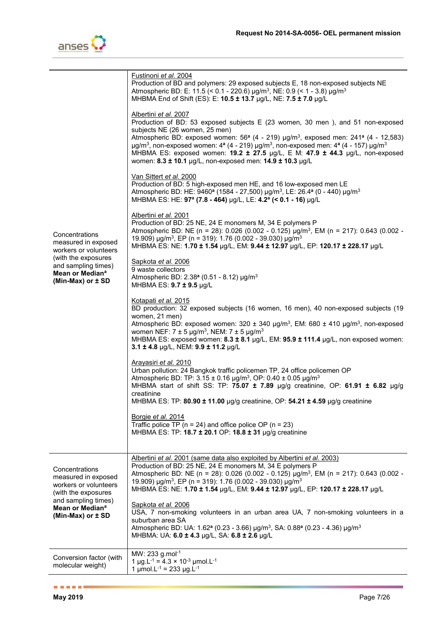

| Concentrations<br>measured in exposed<br>workers or volunteers<br>(with the exposures<br>and sampling times)<br>Mean or Median <sup>a</sup><br>(Min-Max) or $\pm$ SD | Fustinoni <i>et al.</i> 2004<br>Production of BD and polymers: 29 exposed subjects E, 18 non-exposed subjects NE<br>Atmospheric BD: E: 11.5 (< 0.1 - 220.6) µg/m <sup>3</sup> , NE: 0.9 (< 1 - 3.8) µg/m <sup>3</sup><br>MHBMA End of Shift (ES): E: 10.5 ± 13.7 µg/L, NE: 7.5 ± 7.0 µg/L<br>Albertini et al. 2007<br>Production of BD: 53 exposed subjects E (23 women, 30 men), and 51 non-exposed<br>subjects NE (26 women, 25 men)<br>Atmospheric BD: exposed women: 56 <sup>a</sup> (4 - 219) µg/m <sup>3</sup> , exposed men: 241 <sup>a</sup> (4 - 12,583)<br>$\mu$ g/m <sup>3</sup> , non-exposed women: 4 <sup>a</sup> (4 - 219) $\mu$ g/m <sup>3</sup> , non-exposed men: 4 <sup>a</sup> (4 - 157) $\mu$ g/m <sup>3</sup><br>MHBMA ES: exposed women: 19.2 ± 27.5 µg/L, E M: 47.9 ± 44.3 µg/L, non-exposed<br>women: 8.3 ± 10.1 µg/L, non-exposed men: 14.9 ± 10.3 µg/L<br>Van Sittert et al. 2000<br>Production of BD: 5 high-exposed men HE, and 16 low-exposed men LE<br>Atmospheric BD: HE: 9460 <sup>a</sup> (1584 - 27,500) µg/m <sup>3</sup> , LE: 26.4 <sup>a</sup> (0 - 440) µg/m <sup>3</sup><br>MHBMA ES: HE: 97 <sup>a</sup> (7.8 - 464) µg/L, LE: 4.2 <sup>a</sup> (< 0.1 - 16) µg/L<br>Albertini et al. 2001<br>Production of BD: 25 NE, 24 E monomers M, 34 E polymers P<br>Atmospheric BD: NE (n = 28): 0.026 (0.002 - 0.125) $\mu g/m^3$ , EM (n = 217): 0.643 (0.002 -<br>19.909) $\mu$ g/m <sup>3</sup> , EP (n = 319): 1.76 (0.002 - 39.030) $\mu$ g/m <sup>3</sup><br>MHBMA ES: NE: 1.70 ± 1.54 µg/L, EM: 9.44 ± 12.97 µg/L, EP: 120.17 ± 228.17 µg/L<br>Sapkota et al. 2006<br>9 waste collectors<br>Atmospheric BD: 2.38 <sup>a</sup> (0.51 - 8.12) µg/m <sup>3</sup><br>MHBMA ES: $9.7 \pm 9.5$ µg/L<br>Kotapati et al. 2015<br>BD production: 32 exposed subjects (16 women, 16 men), 40 non-exposed subjects (19<br>women, 21 men)<br>Atmospheric BD: exposed women: 320 $\pm$ 340 µg/m <sup>3</sup> , EM: 680 $\pm$ 410 µg/m <sup>3</sup> , non-exposed<br>women NEF: $7 \pm 5$ µg/m <sup>3</sup> , NEM: $7 \pm 5$ µg/m <sup>3</sup><br>MHBMA ES: exposed women: 8.3 ± 8.1 µg/L, EM: 95.9 ± 111.4 µg/L, non exposed women:<br>3.1 ± 4.8 µg/L, NEM: 9.9 ± 11.2 µg/L<br><u>Arayasiri et al. 2010</u><br>Urban pollution: 24 Bangkok traffic policemen TP, 24 office policemen OP<br>Atmospheric BD: TP: $3.15 \pm 0.16$ µg/m <sup>3</sup> , OP: $0.40 \pm 0.05$ µg/m <sup>3</sup><br>MHBMA start of shift SS: TP: 75.07 $\pm$ 7.89 µg/g creatinine, OP: 61.91 $\pm$ 6.82 µg/g<br>creatinine<br>MHBMA ES: TP: 80.90 ± 11.00 µg/g creatinine, OP: 54.21 ± 4.59 µg/g creatinine |
|----------------------------------------------------------------------------------------------------------------------------------------------------------------------|-----------------------------------------------------------------------------------------------------------------------------------------------------------------------------------------------------------------------------------------------------------------------------------------------------------------------------------------------------------------------------------------------------------------------------------------------------------------------------------------------------------------------------------------------------------------------------------------------------------------------------------------------------------------------------------------------------------------------------------------------------------------------------------------------------------------------------------------------------------------------------------------------------------------------------------------------------------------------------------------------------------------------------------------------------------------------------------------------------------------------------------------------------------------------------------------------------------------------------------------------------------------------------------------------------------------------------------------------------------------------------------------------------------------------------------------------------------------------------------------------------------------------------------------------------------------------------------------------------------------------------------------------------------------------------------------------------------------------------------------------------------------------------------------------------------------------------------------------------------------------------------------------------------------------------------------------------------------------------------------------------------------------------------------------------------------------------------------------------------------------------------------------------------------------------------------------------------------------------------------------------------------------------------------------------------------------------------------------------------------------------------------------------------------------------------------------------------------------------------------------------------------------------------------------------------------------------------------------------------------|
|                                                                                                                                                                      | Borgie et al. 2014<br>Traffic police TP ( $n = 24$ ) and office police OP ( $n = 23$ )<br>MHBMA ES: TP: 18.7 ± 20.1 OP: 18.8 ± 31 µg/g creatinine                                                                                                                                                                                                                                                                                                                                                                                                                                                                                                                                                                                                                                                                                                                                                                                                                                                                                                                                                                                                                                                                                                                                                                                                                                                                                                                                                                                                                                                                                                                                                                                                                                                                                                                                                                                                                                                                                                                                                                                                                                                                                                                                                                                                                                                                                                                                                                                                                                                               |
| Concentrations<br>measured in exposed<br>workers or volunteers<br>(with the exposures<br>and sampling times)<br>Mean or Median <sup>a</sup><br>(Min-Max) or $\pm$ SD | Albertini et al. 2001 (same data also exploited by Albertini et al. 2003)<br>Production of BD: 25 NE, 24 E monomers M, 34 E polymers P<br>Atmospheric BD: NE (n = 28): 0.026 (0.002 - 0.125) $\mu$ g/m <sup>3</sup> , EM (n = 217): 0.643 (0.002 -<br>19.909) $\mu$ g/m <sup>3</sup> , EP (n = 319): 1.76 (0.002 - 39.030) $\mu$ g/m <sup>3</sup><br>MHBMA ES: NE: 1.70 ± 1.54 µg/L, EM: 9.44 ± 12.97 µg/L, EP: 120.17 ± 228.17 µg/L<br>Sapkota et al. 2006<br>USA, 7 non-smoking volunteers in an urban area UA, 7 non-smoking volunteers in a<br>suburban area SA<br>Atmospheric BD: UA: 1.62 <sup>a</sup> (0.23 - 3.66) µg/m <sup>3</sup> , SA: 0.88 <sup>a</sup> (0.23 - 4.36) µg/m <sup>3</sup><br>MHBMA: UA: 6.0 ± 4.3 µg/L, SA: 6.8 ± 2.6 µg/L                                                                                                                                                                                                                                                                                                                                                                                                                                                                                                                                                                                                                                                                                                                                                                                                                                                                                                                                                                                                                                                                                                                                                                                                                                                                                                                                                                                                                                                                                                                                                                                                                                                                                                                                                                                                                                                           |
| Conversion factor (with<br>molecular weight)                                                                                                                         | MW: 233 g.mol <sup>-1</sup><br>1 µg.L <sup>-1</sup> = 4.3 $\times$ 10 <sup>-3</sup> µmol.L <sup>-1</sup><br>1 $\mu$ mol.L <sup>-1</sup> = 233 $\mu$ g.L <sup>-1</sup>                                                                                                                                                                                                                                                                                                                                                                                                                                                                                                                                                                                                                                                                                                                                                                                                                                                                                                                                                                                                                                                                                                                                                                                                                                                                                                                                                                                                                                                                                                                                                                                                                                                                                                                                                                                                                                                                                                                                                                                                                                                                                                                                                                                                                                                                                                                                                                                                                                           |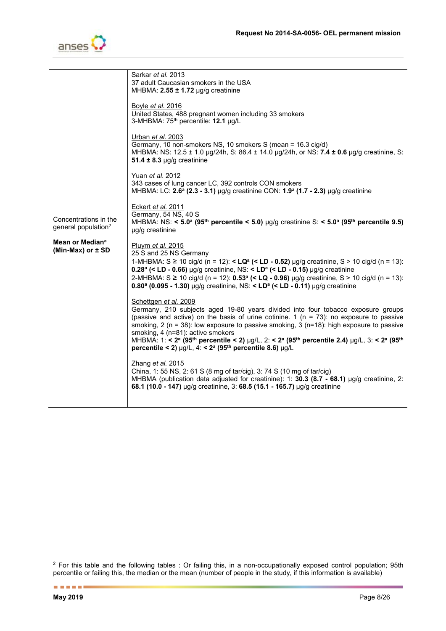

|                                                          | <u>Sarkar et al. 2013</u><br>37 adult Caucasian smokers in the USA<br>MHBMA: $2.55 \pm 1.72$ µg/g creatinine                                                                                                                                                                                                                                                                                                                                                                                                                                                                                                            |
|----------------------------------------------------------|-------------------------------------------------------------------------------------------------------------------------------------------------------------------------------------------------------------------------------------------------------------------------------------------------------------------------------------------------------------------------------------------------------------------------------------------------------------------------------------------------------------------------------------------------------------------------------------------------------------------------|
|                                                          | Boyle <i>et al.</i> 2016<br>United States, 488 pregnant women including 33 smokers<br>3-MHBMA: 75 <sup>th</sup> percentile: 12.1 µg/L                                                                                                                                                                                                                                                                                                                                                                                                                                                                                   |
|                                                          | Urban et al. 2003<br>Germany, 10 non-smokers NS, 10 smokers S (mean = 16.3 cig/d)<br>MHBMA: NS: $12.5 \pm 1.0$ µg/24h, S: $86.4 \pm 14.0$ µg/24h, or NS: <b>7.4 ± 0.6</b> µg/g creatinine, S:<br>51.4 $\pm$ 8.3 µg/g creatinine                                                                                                                                                                                                                                                                                                                                                                                         |
|                                                          | Yuan et al. 2012<br>343 cases of lung cancer LC, 392 controls CON smokers<br>MHBMA: LC: $2.6^{\circ}$ (2.3 - 3.1) µg/g creatinine CON: $1.9^{\circ}$ (1.7 - 2.3) µg/g creatinine                                                                                                                                                                                                                                                                                                                                                                                                                                        |
| Concentrations in the<br>general population <sup>2</sup> | Eckert et al. 2011<br>Germany, 54 NS, 40 S<br>MHBMA: NS: < 5.0 <sup>a</sup> (95 <sup>th</sup> percentile < 5.0) µg/g creatinine S: < 5.0 <sup>a</sup> (95 <sup>th</sup> percentile 9.5)<br>µg/g creatinine                                                                                                                                                                                                                                                                                                                                                                                                              |
| Mean or Median <sup>a</sup><br>(Min-Max) or $\pm$ SD     | Pluym et al. 2015<br>25 S and 25 NS Germany<br>1-MHBMA: S ≥ 10 cig/d (n = 12): < LQ <sup>a</sup> (< LD - 0.52) µg/g creatinine, S > 10 cig/d (n = 13):<br>$0.28^a$ (< LD - 0.66) µg/g creatinine, NS: < LD <sup>a</sup> (< LD - 0.15) µg/g creatinine<br>2-MHBMA: S ≥ 10 cig/d (n = 12): 0.53 <sup>a</sup> (< LQ - 0.96) µg/g creatinine, S > 10 cig/d (n = 13):<br>$0.80^{\circ}$ (0.095 - 1.30) µg/g creatinine, NS: < LD <sup>a</sup> (< LD - 0.11) µg/g creatinine                                                                                                                                                  |
|                                                          | Schettgen et al. 2009<br>Germany, 210 subjects aged 19-80 years divided into four tobacco exposure groups<br>(passive and active) on the basis of urine cotinine. 1 ( $n = 73$ ): no exposure to passive<br>smoking, 2 ( $n = 38$ ): low exposure to passive smoking, 3 ( $n=18$ ): high exposure to passive<br>smoking, 4 (n=81): active smokers<br>MHBMA: 1: < 2 <sup>a</sup> (95 <sup>th</sup> percentile < 2) µg/L, 2: < 2 <sup>a</sup> (95 <sup>th</sup> percentile 2.4) µg/L, 3: < 2 <sup>a</sup> (95 <sup>th</sup><br>percentile < 2) $\mu$ g/L, 4: < 2 <sup>a</sup> (95 <sup>th</sup> percentile 8.6) $\mu$ g/L |
|                                                          | Zhang et al. 2015<br>China, 1: 55 NS, 2: 61 S (8 mg of tar/cig), 3: 74 S (10 mg of tar/cig)<br>MHBMA (publication data adjusted for creatinine): 1: 30.3 (8.7 - 68.1) $\mu$ g/g creatinine, 2:<br>68.1 (10.0 - 147) µg/g creatinine, 3: 68.5 (15.1 - 165.7) µg/g creatinine                                                                                                                                                                                                                                                                                                                                             |
|                                                          |                                                                                                                                                                                                                                                                                                                                                                                                                                                                                                                                                                                                                         |

-

 $^2$  For this table and the following tables : Or failing this, in a non-occupationally exposed control population; 95th percentile or failing this, the median or the mean (number of people in the study, if this information is available)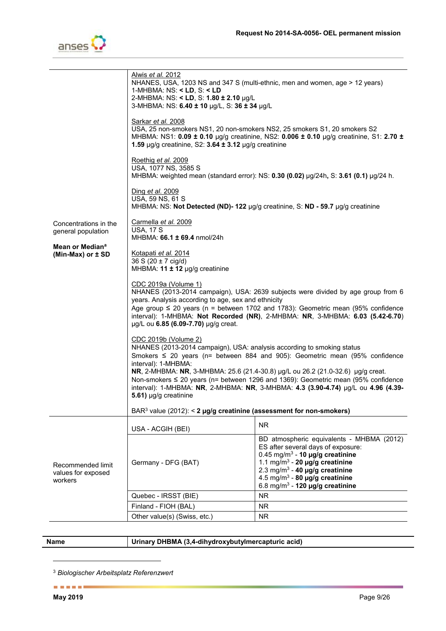

|                                                      | Alwis <i>et al.</i> 2012<br>NHANES, USA, 1203 NS and 347 S (multi-ethnic, men and women, age > 12 years)<br>1-MHBMA: $NS: < LD, S: < LD$<br>2-MHBMA: NS: < LD, S: 1.80 ± 2.10 µg/L<br>3-MHBMA: NS: 6.40 ± 10 µg/L, S: 36 ± 34 µg/L                                                                                                                                                                                                                                                                   |                                                                                                                                                                                                                                                                                                                           |  |
|------------------------------------------------------|------------------------------------------------------------------------------------------------------------------------------------------------------------------------------------------------------------------------------------------------------------------------------------------------------------------------------------------------------------------------------------------------------------------------------------------------------------------------------------------------------|---------------------------------------------------------------------------------------------------------------------------------------------------------------------------------------------------------------------------------------------------------------------------------------------------------------------------|--|
|                                                      | <u>Sarkar et al. 2008</u><br>USA, 25 non-smokers NS1, 20 non-smokers NS2, 25 smokers S1, 20 smokers S2<br>MHBMA: NS1: 0.09 ± 0.10 µg/g creatinine, NS2: 0.006 ± 0.10 µg/g creatinine, S1: 2.70 ±<br>1.59 $\mu$ g/g creatinine, S2: 3.64 $\pm$ 3.12 $\mu$ g/g creatinine                                                                                                                                                                                                                              |                                                                                                                                                                                                                                                                                                                           |  |
|                                                      | Roethig et al. 2009<br>USA, 1077 NS, 3585 S                                                                                                                                                                                                                                                                                                                                                                                                                                                          | MHBMA: weighted mean (standard error): NS: $0.30$ (0.02) $\mu$ g/24h, S: 3.61 (0.1) $\mu$ g/24 h.                                                                                                                                                                                                                         |  |
|                                                      | Ding et al. 2009<br>USA, 59 NS, 61 S                                                                                                                                                                                                                                                                                                                                                                                                                                                                 | MHBMA: NS: Not Detected (ND)- 122 µg/g creatinine, S: ND - 59.7 µg/g creatinine                                                                                                                                                                                                                                           |  |
| Concentrations in the<br>general population          | Carmella et al. 2009<br><b>USA, 17 S</b><br>MHBMA: 66.1 ± 69.4 nmol/24h                                                                                                                                                                                                                                                                                                                                                                                                                              |                                                                                                                                                                                                                                                                                                                           |  |
| Mean or Median <sup>a</sup><br>(Min-Max) or $\pm$ SD | <u>Kotapati et al. 2014</u><br>$36 S (20 \pm 7 \text{ cig/d})$<br>MHBMA: $11 \pm 12$ µg/g creatinine                                                                                                                                                                                                                                                                                                                                                                                                 |                                                                                                                                                                                                                                                                                                                           |  |
|                                                      | CDC 2019a (Volume 1)<br>NHANES (2013-2014 campaign), USA: 2639 subjects were divided by age group from 6<br>years. Analysis according to age, sex and ethnicity<br>Age group $\leq$ 20 years (n = between 1702 and 1783): Geometric mean (95% confidence<br>interval): 1-MHBMA: Not Recorded (NR), 2-MHBMA: NR, 3-MHBMA: 6.03 (5.42-6.70)<br>µg/L ou 6.85 (6.09-7.70) µg/g creat.                                                                                                                    |                                                                                                                                                                                                                                                                                                                           |  |
|                                                      | CDC 2019b (Volume 2)<br>NHANES (2013-2014 campaign), USA: analysis according to smoking status<br>Smokers $\leq$ 20 years (n= between 884 and 905): Geometric mean (95% confidence<br>interval): 1-MHBMA:<br>NR, 2-MHBMA: NR, 3-MHBMA: 25.6 (21.4-30.8) µg/L ou 26.2 (21.0-32.6) µg/g creat.<br>Non-smokers $\leq$ 20 years (n= between 1296 and 1369): Geometric mean (95% confidence<br>interval): 1-MHBMA: NR, 2-MHBMA: NR, 3-MHBMA: 4.3 (3.90-4.74) µg/L ou 4.96 (4.39-<br>5.61) µg/g creatinine |                                                                                                                                                                                                                                                                                                                           |  |
|                                                      | BAR <sup>3</sup> value (2012): < 2 $\mu$ g/g creatinine (assessment for non-smokers)                                                                                                                                                                                                                                                                                                                                                                                                                 |                                                                                                                                                                                                                                                                                                                           |  |
| Recommended limit<br>values for exposed<br>workers   | USA - ACGIH (BEI)                                                                                                                                                                                                                                                                                                                                                                                                                                                                                    | <b>NR</b>                                                                                                                                                                                                                                                                                                                 |  |
|                                                      | Germany - DFG (BAT)                                                                                                                                                                                                                                                                                                                                                                                                                                                                                  | BD atmospheric equivalents - MHBMA (2012)<br>ES after several days of exposure:<br>$0.45$ mg/m <sup>3</sup> - 10 µg/g creatinine<br>1.1 mg/m <sup>3</sup> - 20 µg/g creatinine<br>2.3 mg/m <sup>3</sup> - 40 µg/g creatinine<br>4.5 mg/m <sup>3</sup> - 80 µg/g creatinine<br>6.8 mg/m <sup>3</sup> - 120 µg/g creatinine |  |
|                                                      | Quebec - IRSST (BIE)                                                                                                                                                                                                                                                                                                                                                                                                                                                                                 | <b>NR</b>                                                                                                                                                                                                                                                                                                                 |  |
|                                                      | Finland - FIOH (BAL)                                                                                                                                                                                                                                                                                                                                                                                                                                                                                 | <b>NR</b>                                                                                                                                                                                                                                                                                                                 |  |
|                                                      | Other value(s) (Swiss, etc.)                                                                                                                                                                                                                                                                                                                                                                                                                                                                         | <b>NR</b>                                                                                                                                                                                                                                                                                                                 |  |
|                                                      |                                                                                                                                                                                                                                                                                                                                                                                                                                                                                                      |                                                                                                                                                                                                                                                                                                                           |  |

-

#### **Name Urinary DHBMA (3,4-dihydroxybutylmercapturic acid)**

<sup>3</sup> *Biologischer Arbeitsplatz Referenzwert*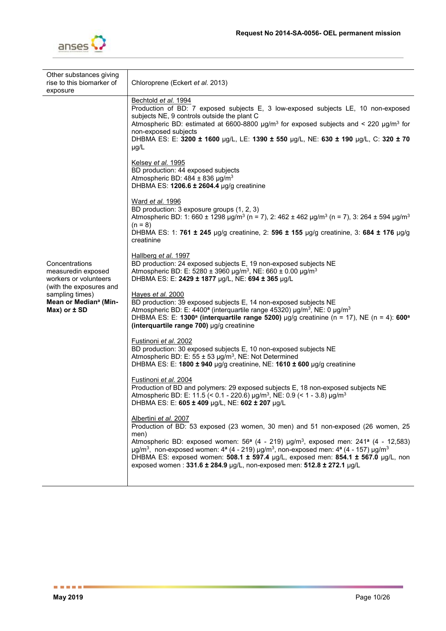

| Other substances giving<br>rise to this biomarker of<br>exposure                                                                                                     | Chloroprene (Eckert et al. 2013)                                                                                                                                                                                                                                                                                                                                                                                                                                                                                                                                                                                                                                                                                                                                                                                                                                                                                                                                                                                                                                                                                                                                                                                                                                                                                                                                                                                                                                                                                                                                                                                                                                            |
|----------------------------------------------------------------------------------------------------------------------------------------------------------------------|-----------------------------------------------------------------------------------------------------------------------------------------------------------------------------------------------------------------------------------------------------------------------------------------------------------------------------------------------------------------------------------------------------------------------------------------------------------------------------------------------------------------------------------------------------------------------------------------------------------------------------------------------------------------------------------------------------------------------------------------------------------------------------------------------------------------------------------------------------------------------------------------------------------------------------------------------------------------------------------------------------------------------------------------------------------------------------------------------------------------------------------------------------------------------------------------------------------------------------------------------------------------------------------------------------------------------------------------------------------------------------------------------------------------------------------------------------------------------------------------------------------------------------------------------------------------------------------------------------------------------------------------------------------------------------|
| Concentrations<br>measuredin exposed<br>workers or volunteers<br>(with the exposures and<br>sampling times)<br>Mean or Median <sup>a</sup> (Min-<br>$Max)$ or $±$ SD | Bechtold et al. 1994<br>Production of BD: 7 exposed subjects E, 3 low-exposed subjects LE, 10 non-exposed<br>subjects NE, 9 controls outside the plant C<br>Atmospheric BD: estimated at 6600-8800 $\mu g/m^3$ for exposed subjects and < 220 $\mu g/m^3$ for<br>non-exposed subjects<br>DHBMA ES: E: 3200 ± 1600 µg/L, LE: 1390 ± 550 µg/L, NE: 630 ± 190 µg/L, C: 320 ± 70<br>$\mu$ g/L<br>Kelsey et al. 1995<br>BD production: 44 exposed subjects<br>Atmospheric BD: 484 $\pm$ 836 µg/m <sup>3</sup><br>DHBMA ES: 1206.6 ± 2604.4 µg/g creatinine<br>Ward et al. 1996<br>BD production: 3 exposure groups (1, 2, 3)<br>Atmospheric BD: 1: 660 ± 1298 µg/m <sup>3</sup> (n = 7), 2: 462 ± 462 µg/m <sup>3</sup> (n = 7), 3: 264 ± 594 µg/m <sup>3</sup><br>$(n = 8)$<br>DHBMA ES: 1: 761 ± 245 µg/g creatinine, 2: 596 ± 155 µg/g creatinine, 3: 684 ± 176 µg/g<br>creatinine<br>Hallberg et al. 1997<br>BD production: 24 exposed subjects E, 19 non-exposed subjects NE<br>Atmospheric BD: E: 5280 ± 3960 µg/m <sup>3</sup> , NE: 660 ± 0.00 µg/m <sup>3</sup><br>DHBMA ES: E: 2429 ± 1877 µg/L, NE: 694 ± 365 µg/L<br>Hayes et al. 2000<br>BD production: 39 exposed subjects E, 14 non-exposed subjects NE<br>Atmospheric BD: E: 4400 <sup>a</sup> (interquartile range 45320) µg/m <sup>3</sup> , NE: 0 µg/m <sup>3</sup><br>DHBMA ES: E: 1300 <sup>a</sup> (interquartile range 5200) µg/g creatinine (n = 17), NE (n = 4): 600 <sup>a</sup><br>(interquartile range 700) µg/g creatinine<br>Fustinoni <i>et al.</i> 2002<br>BD production: 30 exposed subjects E, 10 non-exposed subjects NE<br>Atmospheric BD: E: 55 ± 53 µg/m <sup>3</sup> , NE: Not Determined |
|                                                                                                                                                                      | DHBMA ES: E: 1800 $\pm$ 940 µg/g creatinine, NE: 1610 $\pm$ 600 µg/g creatinine<br>Fustinoni et al. 2004<br>Production of BD and polymers: 29 exposed subjects E, 18 non-exposed subjects NE<br>Atmospheric BD: E: 11.5 (< 0.1 - 220.6) µg/m <sup>3</sup> , NE: 0.9 (< 1 - 3.8) µg/m <sup>3</sup>                                                                                                                                                                                                                                                                                                                                                                                                                                                                                                                                                                                                                                                                                                                                                                                                                                                                                                                                                                                                                                                                                                                                                                                                                                                                                                                                                                           |
|                                                                                                                                                                      | DHBMA ES: E: 605 ± 409 µg/L, NE: 602 ± 207 µg/L<br>Albertini et al. 2007<br>Production of BD: 53 exposed (23 women, 30 men) and 51 non-exposed (26 women, 25<br>men)<br>Atmospheric BD: exposed women: $56^a$ (4 - 219) $\mu g/m^3$ , exposed men: 241 <sup>a</sup> (4 - 12,583)<br>$\mu$ g/m <sup>3</sup> , non-exposed women: 4 <sup>a</sup> (4 - 219) $\mu$ g/m <sup>3</sup> , non-exposed men: 4 <sup>a</sup> (4 - 157) $\mu$ g/m <sup>3</sup><br>DHBMA ES: exposed women: 508.1 ± 597.4 µg/L, exposed men: 854.1 ± 567.0 µg/L, non<br>exposed women: 331.6 ± 284.9 µg/L, non-exposed men: 512.8 ± 272.1 µg/L                                                                                                                                                                                                                                                                                                                                                                                                                                                                                                                                                                                                                                                                                                                                                                                                                                                                                                                                                                                                                                                           |
|                                                                                                                                                                      |                                                                                                                                                                                                                                                                                                                                                                                                                                                                                                                                                                                                                                                                                                                                                                                                                                                                                                                                                                                                                                                                                                                                                                                                                                                                                                                                                                                                                                                                                                                                                                                                                                                                             |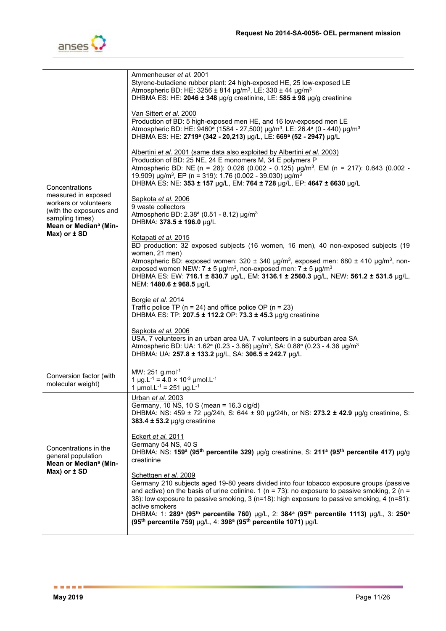

| Concentrations                                                                                                                  | Ammenheuser et al. 2001<br>Styrene-butadiene rubber plant: 24 high-exposed HE, 25 low-exposed LE<br>Atmospheric BD: HE: 3256 ± 814 $\mu$ g/m <sup>3</sup> , LE: 330 ± 44 $\mu$ g/m <sup>3</sup><br>DHBMA ES: HE: 2046 ± 348 µg/g creatinine, LE: 585 ± 98 µg/g creatinine                                                                                                                                                                                                                                                                                                         |
|---------------------------------------------------------------------------------------------------------------------------------|-----------------------------------------------------------------------------------------------------------------------------------------------------------------------------------------------------------------------------------------------------------------------------------------------------------------------------------------------------------------------------------------------------------------------------------------------------------------------------------------------------------------------------------------------------------------------------------|
|                                                                                                                                 | Van Sittert et al. 2000<br>Production of BD: 5 high-exposed men HE, and 16 low-exposed men LE<br>Atmospheric BD: HE: 9460 <sup>a</sup> (1584 - 27,500) µg/m <sup>3</sup> , LE: 26.4 <sup>a</sup> (0 - 440) µg/m <sup>3</sup><br>DHBMA ES: HE: 2719 <sup>a</sup> (342 - 20,213) µg/L, LE: 669 <sup>a</sup> (52 - 2947) µg/L                                                                                                                                                                                                                                                        |
|                                                                                                                                 | Albertini et al. 2001 (same data also exploited by Albertini et al. 2003)<br>Production of BD: 25 NE, 24 E monomers M, 34 E polymers P<br>Atmospheric BD: NE (n = 28): 0.026 (0.002 - 0.125) $\mu$ g/m <sup>3</sup> , EM (n = 217): 0.643 (0.002 -<br>19.909) $\mu$ g/m <sup>3</sup> , EP (n = 319): 1.76 (0.002 - 39.030) $\mu$ g/m <sup>3</sup><br>DHBMA ES: NE: 353 ± 157 µg/L, EM: 764 ± 728 µg/L, EP: 4647 ± 6630 µg/L                                                                                                                                                       |
| measured in exposed<br>workers or volunteers<br>(with the exposures and<br>sampling times)<br>Mean or Median <sup>a</sup> (Min- | Sapkota et al. 2006<br>9 waste collectors<br>Atmospheric BD: $2.38^a$ (0.51 - 8.12) µg/m <sup>3</sup><br>DHBMA: 378.5 ± 196.0 µg/L                                                                                                                                                                                                                                                                                                                                                                                                                                                |
| $Max)$ or $±$ SD                                                                                                                | Kotapati et al. 2015<br>BD production: 32 exposed subjects (16 women, 16 men), 40 non-exposed subjects (19<br>women, 21 men)<br>Atmospheric BD: exposed women: 320 ± 340 µg/m <sup>3</sup> , exposed men: 680 ± 410 µg/m <sup>3</sup> , non-<br>exposed women NEW: $7 \pm 5$ µg/m <sup>3</sup> , non-exposed men: $7 \pm 5$ µg/m <sup>3</sup><br>DHBMA ES: EW: 716.1 ± 830.7 µg/L, EM: 3136.1 ± 2560.3 µg/L, NEW: 561.2 ± 531.5 µg/L,<br>NEM: 1480.6 ± 968.5 µg/L                                                                                                                 |
|                                                                                                                                 | Borgie et al. 2014<br>Traffic police TP ( $n = 24$ ) and office police OP ( $n = 23$ )<br>DHBMA ES: TP: 207.5 ± 112.2 OP: 73.3 ± 45.3 µg/g creatinine                                                                                                                                                                                                                                                                                                                                                                                                                             |
|                                                                                                                                 | Sapkota et al. 2006<br>USA, 7 volunteers in an urban area UA, 7 volunteers in a suburban area SA<br>Atmospheric BD: UA: 1.62 <sup>a</sup> (0.23 - 3.66) µg/m <sup>3</sup> , SA: 0.88 <sup>a</sup> (0.23 - 4.36 µg/m <sup>3</sup><br>DHBMA: UA: 257.8 ± 133.2 µg/L, SA: 306.5 ± 242.7 µg/L                                                                                                                                                                                                                                                                                         |
| Conversion factor (with<br>molecular weight)                                                                                    | MW: 251 g.mol <sup>-1</sup><br>1 µg.L <sup>-1</sup> = 4.0 $\times$ 10 <sup>-3</sup> µmol.L <sup>-1</sup><br>1 µmol.L <sup>-1</sup> = 251 µg.L <sup>-1</sup>                                                                                                                                                                                                                                                                                                                                                                                                                       |
| Concentrations in the<br>general population<br>Mean or Median <sup>a</sup> (Min-<br>$Max)$ or $\pm$ SD                          | Urban et al. 2003<br>Germany, 10 NS, 10 S (mean = 16.3 cig/d)<br>DHBMA: NS: 459 ± 72 µg/24h, S: 644 ± 90 µg/24h, or NS: 273.2 ± 42.9 µg/g creatinine, S:<br>383.4 $\pm$ 53.2 µg/g creatinine                                                                                                                                                                                                                                                                                                                                                                                      |
|                                                                                                                                 | Eckert et al. 2011<br>Germany 54 NS, 40 S<br>DHBMA: NS: 159 <sup>a</sup> (95 <sup>th</sup> percentile 329) µg/g creatinine, S: 211 <sup>a</sup> (95 <sup>th</sup> percentile 417) µg/g<br>creatinine                                                                                                                                                                                                                                                                                                                                                                              |
|                                                                                                                                 | Schettgen et al. 2009<br>Germany 210 subjects aged 19-80 years divided into four tobacco exposure groups (passive<br>and active) on the basis of urine cotinine. 1 ( $n = 73$ ): no exposure to passive smoking, 2 ( $n =$<br>38): low exposure to passive smoking, 3 (n=18): high exposure to passive smoking, 4 (n=81):<br>active smokers<br>DHBMA: 1: 289 <sup>a</sup> (95 <sup>th</sup> percentile 760) µg/L, 2: 384 <sup>a</sup> (95 <sup>th</sup> percentile 1113) µg/L, 3: 250 <sup>a</sup><br>(95th percentile 759) µg/L, 4: 398 <sup>a</sup> (95th percentile 1071) µg/L |
|                                                                                                                                 |                                                                                                                                                                                                                                                                                                                                                                                                                                                                                                                                                                                   |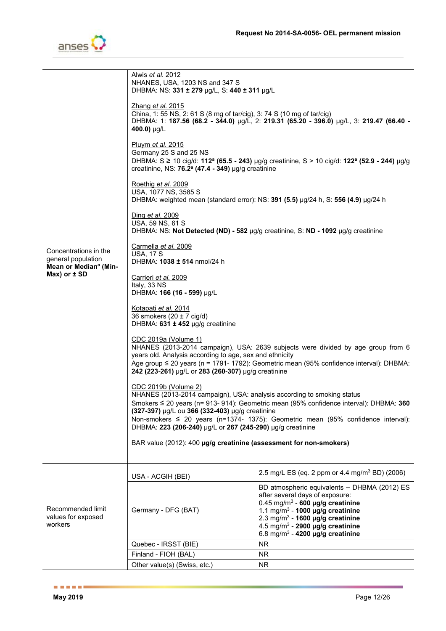

|                                                                                  | Alwis <i>et al.</i> 2012<br>NHANES, USA, 1203 NS and 347 S<br>DHBMA: NS: 331 ± 279 µg/L, S: 440 ± 311 µg/L                                                                                                                                                                                                                           |                                                                                                                                                                                                                                                                                                                                   |  |
|----------------------------------------------------------------------------------|--------------------------------------------------------------------------------------------------------------------------------------------------------------------------------------------------------------------------------------------------------------------------------------------------------------------------------------|-----------------------------------------------------------------------------------------------------------------------------------------------------------------------------------------------------------------------------------------------------------------------------------------------------------------------------------|--|
|                                                                                  | Zhang et al. 2015<br>China, 1: 55 NS, 2: 61 S (8 mg of tar/cig), 3: 74 S (10 mg of tar/cig)<br>DHBMA: 1: 187.56 (68.2 - 344.0) µg/L, 2: 219.31 (65.20 - 396.0) µg/L, 3: 219.47 (66.40 -<br>400.0) µg/L                                                                                                                               |                                                                                                                                                                                                                                                                                                                                   |  |
|                                                                                  | Pluym et al. 2015<br>Germany 25 S and 25 NS<br>DHBMA: S ≥ 10 cig/d: 112 <sup>a</sup> (65.5 - 243) µg/g creatinine, S > 10 cig/d: 122 <sup>a</sup> (52.9 - 244) µg/g<br>creatinine, NS: 76.2 <sup>a</sup> (47.4 - 349) µg/g creatinine                                                                                                |                                                                                                                                                                                                                                                                                                                                   |  |
|                                                                                  | Roethig et al. 2009<br>USA, 1077 NS, 3585 S<br>DHBMA: weighted mean (standard error): NS: 391 (5.5) µg/24 h, S: 556 (4.9) µg/24 h                                                                                                                                                                                                    |                                                                                                                                                                                                                                                                                                                                   |  |
|                                                                                  | Ding et al. 2009<br>USA, 59 NS, 61 S<br>DHBMA: NS: Not Detected (ND) - 582 µg/g creatinine, S: ND - 1092 µg/g creatinine                                                                                                                                                                                                             |                                                                                                                                                                                                                                                                                                                                   |  |
| Concentrations in the<br>general population<br>Mean or Median <sup>a</sup> (Min- | Carmella et al. 2009<br><b>USA, 17 S</b><br>DHBMA: 1038 ± 514 nmol/24 h                                                                                                                                                                                                                                                              |                                                                                                                                                                                                                                                                                                                                   |  |
| $Max)$ or $\pm$ SD                                                               | Carrieri et al. 2009<br>Italy, 33 NS<br>DHBMA: 166 (16 - 599) µg/L                                                                                                                                                                                                                                                                   |                                                                                                                                                                                                                                                                                                                                   |  |
|                                                                                  | Kotapati et al. 2014<br>36 smokers $(20 \pm 7 \text{ cig/d})$<br>DHBMA: $631 \pm 452$ µg/g creatinine                                                                                                                                                                                                                                |                                                                                                                                                                                                                                                                                                                                   |  |
|                                                                                  | CDC 2019a (Volume 1)<br>NHANES (2013-2014 campaign), USA: 2639 subjects were divided by age group from 6<br>years old. Analysis according to age, sex and ethnicity<br>Age group $\leq$ 20 years (n = 1791- 1792): Geometric mean (95% confidence interval): DHBMA:<br>242 (223-261) µg/L or 283 (260-307) µg/g creatinine           |                                                                                                                                                                                                                                                                                                                                   |  |
|                                                                                  | CDC 2019b (Volume 2)<br>NHANES (2013-2014 campaign), USA: analysis according to smoking status<br>Smokers ≤ 20 years (n= 913- 914): Geometric mean (95% confidence interval): DHBMA: 360<br>(327-397) µg/L ou 366 (332-403) µg/g creatinine<br>Non-smokers $\leq 20$ years (n=1374- 1375): Geometric mean (95% confidence interval): |                                                                                                                                                                                                                                                                                                                                   |  |
|                                                                                  | DHBMA: 223 (206-240) µg/L or 267 (245-290) µg/g creatinine                                                                                                                                                                                                                                                                           |                                                                                                                                                                                                                                                                                                                                   |  |
|                                                                                  | BAR value (2012): 400 µg/g creatinine (assessment for non-smokers)                                                                                                                                                                                                                                                                   |                                                                                                                                                                                                                                                                                                                                   |  |
| Recommended limit<br>values for exposed<br>workers                               | USA - ACGIH (BEI)                                                                                                                                                                                                                                                                                                                    | 2.5 mg/L ES (eq. 2 ppm or 4.4 mg/m <sup>3</sup> BD) (2006)                                                                                                                                                                                                                                                                        |  |
|                                                                                  | Germany - DFG (BAT)                                                                                                                                                                                                                                                                                                                  | BD atmospheric equivalents - DHBMA (2012) ES<br>after several days of exposure:<br>$0.45$ mg/m <sup>3</sup> - 600 µg/g creatinine<br>1.1 mg/m <sup>3</sup> - 1000 µg/g creatinine<br>2.3 mg/m <sup>3</sup> - 1600 µg/g creatinine<br>4.5 mg/m <sup>3</sup> - 2900 µg/g creatinine<br>6.8 mg/m <sup>3</sup> - 4200 µg/g creatinine |  |
|                                                                                  | Quebec - IRSST (BIE)                                                                                                                                                                                                                                                                                                                 | <b>NR</b>                                                                                                                                                                                                                                                                                                                         |  |
|                                                                                  | Finland - FIOH (BAL)                                                                                                                                                                                                                                                                                                                 | <b>NR</b>                                                                                                                                                                                                                                                                                                                         |  |
|                                                                                  | Other value(s) (Swiss, etc.)                                                                                                                                                                                                                                                                                                         | <b>NR</b>                                                                                                                                                                                                                                                                                                                         |  |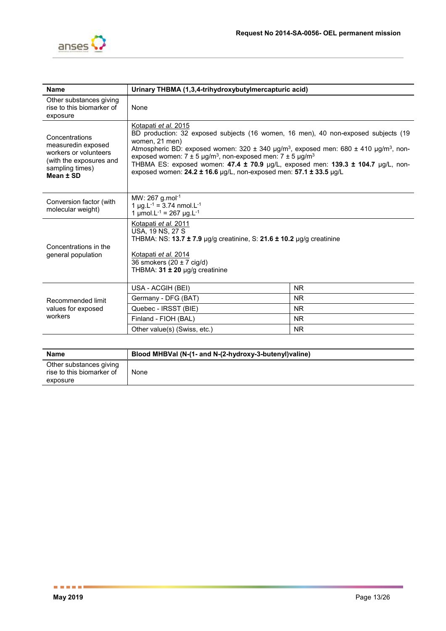

| Other substances giving<br>rise to this biomarker of<br>None<br>exposure<br>Kotapati et al. 2015<br>BD production: 32 exposed subjects (16 women, 16 men), 40 non-exposed subjects (19<br>Concentrations<br>women, 21 men)<br>measuredin exposed<br>Atmospheric BD: exposed women: 320 $\pm$ 340 µg/m <sup>3</sup> , exposed men: 680 $\pm$ 410 µg/m <sup>3</sup> , non-<br>workers or volunteers<br>exposed women: $7 \pm 5$ µg/m <sup>3</sup> , non-exposed men: $7 \pm 5$ µg/m <sup>3</sup><br>(with the exposures and<br>THBMA ES: exposed women: 47.4 ± 70.9 µg/L, exposed men: 139.3 ± 104.7 µg/L, non-<br>sampling times)<br>exposed women: $24.2 \pm 16.6$ µg/L, non-exposed men: $57.1 \pm 33.5$ µg/L<br>Mean ± SD<br>MW: 267 g.mol <sup>-1</sup><br>Conversion factor (with<br>1 µg.L <sup>-1</sup> = 3.74 nmol.L <sup>-1</sup><br>molecular weight)<br>1 µmol.L <sup>-1</sup> = 267 µg.L <sup>-1</sup><br>Kotapati et al. 2011<br>USA, 19 NS, 27 S<br>THBMA: NS: $13.7 \pm 7.9$ µg/g creatinine, S: $21.6 \pm 10.2$ µg/g creatinine<br>Concentrations in the<br>Kotapati et al. 2014<br>general population<br>36 smokers $(20 \pm 7 \text{ cig/d})$ | <b>Name</b>                             | Urinary THBMA (1,3,4-trihydroxybutylmercapturic acid) |  |
|----------------------------------------------------------------------------------------------------------------------------------------------------------------------------------------------------------------------------------------------------------------------------------------------------------------------------------------------------------------------------------------------------------------------------------------------------------------------------------------------------------------------------------------------------------------------------------------------------------------------------------------------------------------------------------------------------------------------------------------------------------------------------------------------------------------------------------------------------------------------------------------------------------------------------------------------------------------------------------------------------------------------------------------------------------------------------------------------------------------------------------------------------------------|-----------------------------------------|-------------------------------------------------------|--|
|                                                                                                                                                                                                                                                                                                                                                                                                                                                                                                                                                                                                                                                                                                                                                                                                                                                                                                                                                                                                                                                                                                                                                                |                                         |                                                       |  |
|                                                                                                                                                                                                                                                                                                                                                                                                                                                                                                                                                                                                                                                                                                                                                                                                                                                                                                                                                                                                                                                                                                                                                                |                                         |                                                       |  |
|                                                                                                                                                                                                                                                                                                                                                                                                                                                                                                                                                                                                                                                                                                                                                                                                                                                                                                                                                                                                                                                                                                                                                                |                                         |                                                       |  |
|                                                                                                                                                                                                                                                                                                                                                                                                                                                                                                                                                                                                                                                                                                                                                                                                                                                                                                                                                                                                                                                                                                                                                                |                                         | THBMA: 31 ± 20 µg/g creatinine                        |  |
| <b>NR</b><br>USA - ACGIH (BEI)                                                                                                                                                                                                                                                                                                                                                                                                                                                                                                                                                                                                                                                                                                                                                                                                                                                                                                                                                                                                                                                                                                                                 | Recommended limit<br>values for exposed |                                                       |  |
| Germany - DFG (BAT)<br>N <sub>R</sub>                                                                                                                                                                                                                                                                                                                                                                                                                                                                                                                                                                                                                                                                                                                                                                                                                                                                                                                                                                                                                                                                                                                          |                                         |                                                       |  |
| Quebec - IRSST (BIE)<br><b>NR</b>                                                                                                                                                                                                                                                                                                                                                                                                                                                                                                                                                                                                                                                                                                                                                                                                                                                                                                                                                                                                                                                                                                                              |                                         |                                                       |  |
| workers<br>Finland - FIOH (BAL)<br><b>NR</b>                                                                                                                                                                                                                                                                                                                                                                                                                                                                                                                                                                                                                                                                                                                                                                                                                                                                                                                                                                                                                                                                                                                   |                                         |                                                       |  |
| <b>NR</b><br>Other value(s) (Swiss, etc.)                                                                                                                                                                                                                                                                                                                                                                                                                                                                                                                                                                                                                                                                                                                                                                                                                                                                                                                                                                                                                                                                                                                      |                                         |                                                       |  |

| <b>Name</b>                                                      | Blood MHBVal (N-(1- and N-(2-hydroxy-3-butenyl) valine) |
|------------------------------------------------------------------|---------------------------------------------------------|
| Other substances giving<br>rise to this biomarker of<br>exposure | None                                                    |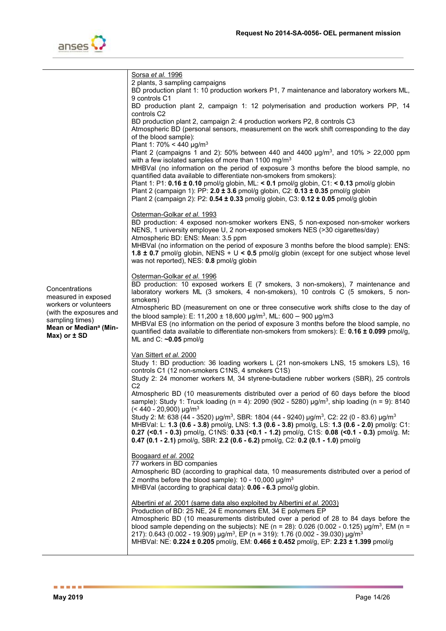

|                                            | Sorsa et al. 1996                                                                                                                                                                                                            |
|--------------------------------------------|------------------------------------------------------------------------------------------------------------------------------------------------------------------------------------------------------------------------------|
|                                            | 2 plants, 3 sampling campaigns<br>BD production plant 1: 10 production workers P1, 7 maintenance and laboratory workers ML,                                                                                                  |
|                                            | 9 controls C1                                                                                                                                                                                                                |
|                                            | BD production plant 2, campaign 1: 12 polymerisation and production workers PP, 14                                                                                                                                           |
|                                            | controls C2                                                                                                                                                                                                                  |
|                                            | BD production plant 2, campaign 2: 4 production workers P2, 8 controls C3<br>Atmospheric BD (personal sensors, measurement on the work shift corresponding to the day                                                        |
|                                            | of the blood sample):                                                                                                                                                                                                        |
|                                            | Plant 1: 70% < 440 $\mu$ g/m <sup>3</sup>                                                                                                                                                                                    |
|                                            | Plant 2 (campaigns 1 and 2): 50% between 440 and 4400 $\mu g/m^3$ , and 10% > 22,000 ppm                                                                                                                                     |
|                                            | with a few isolated samples of more than 1100 mg/m <sup>3</sup><br>MHBVal (no information on the period of exposure 3 months before the blood sample, no                                                                     |
|                                            | quantified data available to differentiate non-smokers from smokers):                                                                                                                                                        |
|                                            | Plant 1: P1: $0.16 \pm 0.10$ pmol/g globin, ML: < 0.1 pmol/g globin, C1: < 0.13 pmol/g globin                                                                                                                                |
|                                            | Plant 2 (campaign 1): PP: 2.0 ± 3.6 pmol/g globin, C2: 0.13 ± 0.35 pmol/g globin<br>Plant 2 (campaign 2): P2: 0.54 ± 0.33 pmol/g globin, C3: 0.12 ± 0.05 pmol/g globin                                                       |
|                                            |                                                                                                                                                                                                                              |
|                                            | Osterman-Golkar et al. 1993                                                                                                                                                                                                  |
|                                            | BD production: 4 exposed non-smoker workers ENS, 5 non-exposed non-smoker workers                                                                                                                                            |
|                                            | NENS, 1 university employee U, 2 non-exposed smokers NES (>30 cigarettes/day)<br>Atmospheric BD: ENS: Mean: 3.5 ppm                                                                                                          |
|                                            | MHBVal (no information on the period of exposure 3 months before the blood sample): ENS:                                                                                                                                     |
|                                            | 1.8 $\pm$ 0.7 pmol/g globin, NENS + U < 0.5 pmol/g globin (except for one subject whose level                                                                                                                                |
|                                            | was not reported), NES: 0.8 pmol/g globin                                                                                                                                                                                    |
|                                            | Osterman-Golkar et al. 1996                                                                                                                                                                                                  |
| Concentrations                             | BD production: 10 exposed workers E (7 smokers, 3 non-smokers), 7 maintenance and                                                                                                                                            |
| measured in exposed                        | laboratory workers ML (3 smokers, 4 non-smokers), 10 controls C (5 smokers, 5 non-<br>smokers)                                                                                                                               |
| workers or volunteers                      | Atmospheric BD (measurement on one or three consecutive work shifts close to the day of                                                                                                                                      |
| (with the exposures and<br>sampling times) | the blood sample): E: 11,200 ± 18,600 $\mu$ g/m <sup>3</sup> , ML: 600 – 900 $\mu$ g/m3                                                                                                                                      |
| Mean or Median <sup>a</sup> (Min-          | MHBVal ES (no information on the period of exposure 3 months before the blood sample, no                                                                                                                                     |
| $Max)$ or $±$ SD                           | quantified data available to differentiate non-smokers from smokers): E: 0.16 ± 0.099 pmol/g,<br>ML and C: $\sim$ 0.05 pmol/g                                                                                                |
|                                            |                                                                                                                                                                                                                              |
|                                            | Van Sittert et al. 2000                                                                                                                                                                                                      |
|                                            | Study 1: BD production: 36 loading workers L (21 non-smokers LNS, 15 smokers LS), 16<br>controls C1 (12 non-smokers C1NS, 4 smokers C1S)                                                                                     |
|                                            | Study 2: 24 monomer workers M, 34 styrene-butadiene rubber workers (SBR), 25 controls                                                                                                                                        |
|                                            | C <sub>2</sub>                                                                                                                                                                                                               |
|                                            | Atmospheric BD (10 measurements distributed over a period of 60 days before the blood<br>sample): Study 1: Truck loading (n = 4): 2090 (902 - 5280) $\mu g/m^3$ , ship loading (n = 9): 8140                                 |
|                                            | $(< 440 - 20,900)$ µg/m <sup>3</sup>                                                                                                                                                                                         |
|                                            | Study 2: M: 638 (44 - 3520) $\mu$ g/m <sup>3</sup> , SBR: 1804 (44 - 9240) $\mu$ g/m <sup>3</sup> , C2: 22 (0 - 83.6) $\mu$ g/m <sup>3</sup>                                                                                 |
|                                            | MHBVal: L: 1.3 (0.6 - 3.8) pmol/g, LNS: 1.3 (0.6 - 3.8) pmol/g, LS: 1.3 (0.6 - 2.0) pmol/g: C1:<br>0.27 (<0.1 - 0.3) pmol/g, C1NS: 0.33 (<0.1 - 1.2) pmol/g, C1S: 0.08 (<0.1 - 0.3) pmol/g. M:                               |
|                                            | 0.47 (0.1 - 2.1) pmol/g, SBR: 2.2 (0.6 - 6.2) pmol/g, C2: 0.2 (0.1 - 1.0) pmol/g                                                                                                                                             |
|                                            |                                                                                                                                                                                                                              |
|                                            | Boogaard et al. 2002<br>77 workers in BD companies                                                                                                                                                                           |
|                                            | Atmospheric BD (according to graphical data, 10 measurements distributed over a period of                                                                                                                                    |
|                                            | 2 months before the blood sample): $10 - 10,000 \mu g/m^3$                                                                                                                                                                   |
|                                            | MHBVal (according to graphical data): 0.06 - 6.3 pmol/g globin.                                                                                                                                                              |
|                                            | Albertini et al. 2001 (same data also exploited by Albertini et al. 2003)                                                                                                                                                    |
|                                            | Production of BD: 25 NE, 24 E monomers EM, 34 E polymers EP                                                                                                                                                                  |
|                                            | Atmospheric BD (10 measurements distributed over a period of 28 to 84 days before the                                                                                                                                        |
|                                            | blood sample depending on the subjects): NE ( $n = 28$ ): 0.026 (0.002 - 0.125) $\mu g/m^3$ , EM ( $n =$<br>217): 0.643 (0.002 - 19.909) $\mu$ g/m <sup>3</sup> , EP (n = 319): 1.76 (0.002 - 39.030) $\mu$ g/m <sup>3</sup> |
|                                            | MHBVal: NE: 0.224 ± 0.205 pmol/g, EM: 0.466 ± 0.452 pmol/g, EP: 2.23 ± 1.399 pmol/g                                                                                                                                          |
|                                            |                                                                                                                                                                                                                              |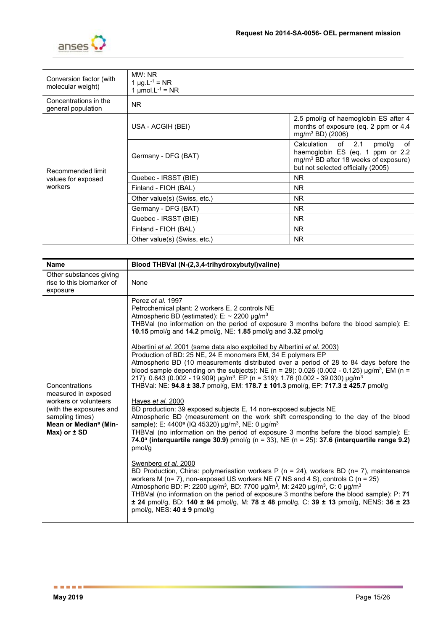

| Conversion factor (with<br>molecular weight)       | MW: NR<br>1 $\mu$ g.L <sup>-1</sup> = NR<br>1 $\mu$ mol.L <sup>-1</sup> = NR |                                                                                                                                                        |
|----------------------------------------------------|------------------------------------------------------------------------------|--------------------------------------------------------------------------------------------------------------------------------------------------------|
| Concentrations in the<br>general population        | <b>NR</b>                                                                    |                                                                                                                                                        |
| Recommended limit<br>values for exposed<br>workers | USA - ACGIH (BEI)                                                            | 2.5 pmol/g of haemoglobin ES after 4<br>months of exposure (eq. 2 ppm or 4.4<br>$mg/m^3 BD$ (2006)                                                     |
|                                                    | Germany - DFG (BAT)                                                          | Calculation of 2.1<br>of<br>pmol/g<br>haemoglobin ES (eq. 1 ppm or 2.2<br>$mg/m3$ BD after 18 weeks of exposure)<br>but not selected officially (2005) |
|                                                    | Quebec - IRSST (BIE)                                                         | <b>NR</b>                                                                                                                                              |
|                                                    | Finland - FIOH (BAL)                                                         | <b>NR</b>                                                                                                                                              |
|                                                    | Other value(s) (Swiss, etc.)                                                 | <b>NR</b>                                                                                                                                              |
|                                                    | Germany - DFG (BAT)                                                          | <b>NR</b>                                                                                                                                              |
|                                                    | Quebec - IRSST (BIE)                                                         | NR.                                                                                                                                                    |
|                                                    | Finland - FIOH (BAL)                                                         | <b>NR</b>                                                                                                                                              |
|                                                    | Other value(s) (Swiss, etc.)                                                 | <b>NR</b>                                                                                                                                              |

| <b>Name</b>                                                                                         | Blood THBVal (N-(2,3,4-trihydroxybutyl)valine)                                                                                                                                                                                                                                                                                                                                                                                                                                                                                                                                                                                                                                                                                                                                                                                                                                  |
|-----------------------------------------------------------------------------------------------------|---------------------------------------------------------------------------------------------------------------------------------------------------------------------------------------------------------------------------------------------------------------------------------------------------------------------------------------------------------------------------------------------------------------------------------------------------------------------------------------------------------------------------------------------------------------------------------------------------------------------------------------------------------------------------------------------------------------------------------------------------------------------------------------------------------------------------------------------------------------------------------|
| Other substances giving<br>rise to this biomarker of<br>exposure                                    | None                                                                                                                                                                                                                                                                                                                                                                                                                                                                                                                                                                                                                                                                                                                                                                                                                                                                            |
| Concentrations<br>measured in exposed<br>workers or volunteers                                      | Perez <i>et al.</i> 1997<br>Petrochemical plant: 2 workers E, 2 controls NE<br>Atmospheric BD (estimated): E: $\sim$ 2200 µg/m <sup>3</sup><br>THBVal (no information on the period of exposure 3 months before the blood sample): E:<br>10.15 pmol/g and 14.2 pmol/g, NE: 1.85 pmol/g and 3.32 pmol/g<br>Albertini et al. 2001 (same data also exploited by Albertini et al. 2003)<br>Production of BD: 25 NE, 24 E monomers EM, 34 E polymers EP<br>Atmospheric BD (10 measurements distributed over a period of 28 to 84 days before the<br>blood sample depending on the subjects): NE (n = 28): 0.026 (0.002 - 0.125) $\mu g/m^3$ , EM (n =<br>217): 0.643 (0.002 - 19.909) $\mu$ g/m <sup>3</sup> , EP (n = 319): 1.76 (0.002 - 39.030) $\mu$ g/m <sup>3</sup><br>THBVal: NE: 94.8 ± 38.7 pmol/g, EM: 178.7 ± 101.3 pmol/g, EP: 717.3 ± 425.7 pmol/g<br>Hayes et al. 2000 |
| (with the exposures and<br>sampling times)<br>Mean or Median <sup>a</sup> (Min-<br>$Max)$ or $±$ SD | BD production: 39 exposed subjects E, 14 non-exposed subjects NE<br>Atmospheric BD (measurement on the work shift corresponding to the day of the blood<br>sample): E: 4400 <sup>a</sup> (IQ 45320) µg/m <sup>3</sup> , NE: 0 µg/m <sup>3</sup><br>THBVal (no information on the period of exposure 3 months before the blood sample): E:<br>74.0 <sup>a</sup> (interquartile range 30.9) pmol/g (n = 33), NE (n = 25): 37.6 (interquartile range 9.2)<br>pmol/q                                                                                                                                                                                                                                                                                                                                                                                                                |
|                                                                                                     | Swenberg et al. 2000<br>BD Production, China: polymerisation workers P ( $n = 24$ ), workers BD ( $n = 7$ ), maintenance<br>workers M (n= 7), non-exposed US workers NE (7 NS and 4 S), controls C (n = 25)<br>Atmospheric BD: P: 2200 µg/m <sup>3</sup> , BD: 7700 µg/m <sup>3</sup> , M: 2420 µg/m <sup>3</sup> , C: 0 µg/m <sup>3</sup><br>THBVal (no information on the period of exposure 3 months before the blood sample): P: 71<br>$\pm$ 24 pmol/g, BD: 140 $\pm$ 94 pmol/g, M: 78 $\pm$ 48 pmol/g, C: 39 $\pm$ 13 pmol/g, NENS: 36 $\pm$ 23<br>pmol/g, NES: $40 \pm 9$ pmol/g                                                                                                                                                                                                                                                                                          |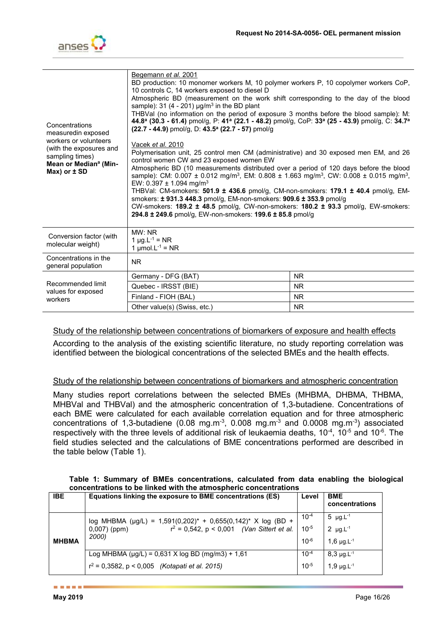

| Concentrations<br>measuredin exposed<br>workers or volunteers<br>(with the exposures and<br>sampling times)<br>Mean or Median <sup>a</sup> (Min-<br>$Max)$ or $\pm$ SD | Begemann et al. 2001<br>BD production: 10 monomer workers M, 10 polymer workers P, 10 copolymer workers CoP,<br>10 controls C, 14 workers exposed to diesel D<br>Atmospheric BD (measurement on the work shift corresponding to the day of the blood<br>sample): 31 (4 - 201) $\mu$ g/m <sup>3</sup> in the BD plant<br>THBVal (no information on the period of exposure 3 months before the blood sample): M:<br>44.8 <sup>a</sup> (30.3 - 61.4) pmol/g, P: 41 <sup>a</sup> (22.1 - 48.2) pmol/g, CoP: 33 <sup>a</sup> (25 - 43.9) pmol/g, C: 34.7 <sup>a</sup><br>$(22.7 - 44.9)$ pmol/g, D: $43.5^{\circ}$ (22.7 - 57) pmol/g<br>Vacek <i>et al.</i> 2010<br>Polymerisation unit, 25 control men CM (administrative) and 30 exposed men EM, and 26<br>control women CW and 23 exposed women EW<br>Atmospheric BD (10 measurements distributed over a period of 120 days before the blood<br>sample): CM: 0.007 ± 0.012 mg/m <sup>3</sup> , EM: 0.808 ± 1.663 mg/m <sup>3</sup> , CW: 0.008 ± 0.015 mg/m <sup>3</sup> ,<br>EW: 0.397 $\pm$ 1.094 mg/m <sup>3</sup><br>THBVal: CM-smokers: 501.9 ± 436.6 pmol/g, CM-non-smokers: 179.1 ± 40.4 pmol/g, EM-<br>smokers: ± 931.3 448.3 pmol/g, EM-non-smokers: 909.6 ± 353.9 pmol/g<br>CW-smokers: 189.2 ± 48.5 pmol/g, CW-non-smokers: 180.2 ± 93.3 pmol/g, EW-smokers:<br>294.8 ± 249.6 pmol/g, EW-non-smokers: 199.6 ± 85.8 pmol/g |           |  |
|------------------------------------------------------------------------------------------------------------------------------------------------------------------------|-------------------------------------------------------------------------------------------------------------------------------------------------------------------------------------------------------------------------------------------------------------------------------------------------------------------------------------------------------------------------------------------------------------------------------------------------------------------------------------------------------------------------------------------------------------------------------------------------------------------------------------------------------------------------------------------------------------------------------------------------------------------------------------------------------------------------------------------------------------------------------------------------------------------------------------------------------------------------------------------------------------------------------------------------------------------------------------------------------------------------------------------------------------------------------------------------------------------------------------------------------------------------------------------------------------------------------------------------------------------------------------|-----------|--|
| Conversion factor (with<br>molecular weight)                                                                                                                           | MW: NR<br>1 $\mu$ g.L <sup>-1</sup> = NR<br>1 $\mu$ mol.L <sup>-1</sup> = NR                                                                                                                                                                                                                                                                                                                                                                                                                                                                                                                                                                                                                                                                                                                                                                                                                                                                                                                                                                                                                                                                                                                                                                                                                                                                                                        |           |  |
| Concentrations in the<br>general population                                                                                                                            | N <sub>R</sub>                                                                                                                                                                                                                                                                                                                                                                                                                                                                                                                                                                                                                                                                                                                                                                                                                                                                                                                                                                                                                                                                                                                                                                                                                                                                                                                                                                      |           |  |
|                                                                                                                                                                        | Germany - DFG (BAT)                                                                                                                                                                                                                                                                                                                                                                                                                                                                                                                                                                                                                                                                                                                                                                                                                                                                                                                                                                                                                                                                                                                                                                                                                                                                                                                                                                 | <b>NR</b> |  |
| Recommended limit<br>values for exposed                                                                                                                                | Quebec - IRSST (BIE)                                                                                                                                                                                                                                                                                                                                                                                                                                                                                                                                                                                                                                                                                                                                                                                                                                                                                                                                                                                                                                                                                                                                                                                                                                                                                                                                                                | NR.       |  |
| workers                                                                                                                                                                | Finland - FIOH (BAL)                                                                                                                                                                                                                                                                                                                                                                                                                                                                                                                                                                                                                                                                                                                                                                                                                                                                                                                                                                                                                                                                                                                                                                                                                                                                                                                                                                | <b>NR</b> |  |
|                                                                                                                                                                        | Other value(s) (Swiss, etc.)                                                                                                                                                                                                                                                                                                                                                                                                                                                                                                                                                                                                                                                                                                                                                                                                                                                                                                                                                                                                                                                                                                                                                                                                                                                                                                                                                        | <b>NR</b> |  |

#### Study of the relationship between concentrations of biomarkers of exposure and health effects

According to the analysis of the existing scientific literature, no study reporting correlation was identified between the biological concentrations of the selected BMEs and the health effects.

#### Study of the relationship between concentrations of biomarkers and atmospheric concentration

Many studies report correlations between the selected BMEs (MHBMA, DHBMA, THBMA, MHBVal and THBVal) and the atmospheric concentration of 1,3-butadiene. Concentrations of each BME were calculated for each available correlation equation and for three atmospheric concentrations of 1,3-butadiene (0.08 mg.m<sup>-3</sup>, 0.008 mg.m<sup>-3</sup> and 0.0008 mg.m<sup>-3</sup>) associated respectively with the three levels of additional risk of leukaemia deaths,  $10^{-4}$ ,  $10^{-5}$  and  $10^{-6}$ . The field studies selected and the calculations of BME concentrations performed are described in the table below (Table 1).

| Table 1: Summary of BMEs concentrations, calculated from data enabling the biological |  |  |  |
|---------------------------------------------------------------------------------------|--|--|--|
| concentrations to be linked with the atmospheric concentrations                       |  |  |  |

| <b>IBE</b>   | Equations linking the exposure to BME concentrations (ES)                                                                                | Level                               | <b>BME</b><br>concentrations                                                             |
|--------------|------------------------------------------------------------------------------------------------------------------------------------------|-------------------------------------|------------------------------------------------------------------------------------------|
| <b>MHBMA</b> | log MHBMA (µg/L) = 1,591(0,202)* + 0,655(0,142)* X log (BD +<br>$r^2 = 0.542$ , p < 0.001 (Van Sittert et al.<br>$0,007)$ (ppm)<br>2000) | $10^{-4}$<br>$10^{-5}$<br>$10^{-6}$ | 5 $\mu$ g. L <sup>-1</sup><br>2 $\mu$ g. L <sup>-1</sup><br>1,6 $\mu$ g. L <sup>-1</sup> |
|              | Log MHBMA ( $\mu$ g/L) = 0,631 X log BD (mg/m3) + 1,61                                                                                   | $10^{-4}$                           | $8,3 \mu g.L^{-1}$                                                                       |
|              | $r^2 = 0.3582$ , p < 0.005 <i>(Kotapati et al. 2015)</i>                                                                                 | $10^{-5}$                           | $1,9 \mu g.L^{-1}$                                                                       |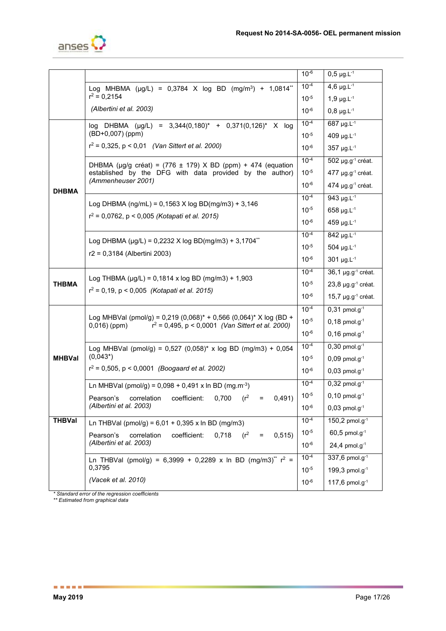

|               |                                                                                               | $10^{-6}$              | $0,5 \mu g.L^{-1}$                  |
|---------------|-----------------------------------------------------------------------------------------------|------------------------|-------------------------------------|
|               | Log MHBMA (µg/L) = 0,3784 X log BD (mg/m <sup>3</sup> ) + 1,0814 <sup>**</sup>                | $10^{-4}$              | $4,6 \mu g.L^{-1}$                  |
|               | $r^2 = 0.2154$                                                                                | $10^{-5}$              | $1,9 \mu g.L^{-1}$                  |
|               | (Albertini et al. 2003)                                                                       | $10^{-6}$              | $0,8 \mu g.L^{-1}$                  |
|               | log DHBMA (µg/L) = 3,344(0,180)* + 0,371(0,126)* X log                                        | $10^{-4}$              | 687 µg.L-1                          |
|               | (BD+0,007) (ppm)                                                                              | $10^{-5}$              | 409 µg. $L^{-1}$                    |
|               | $r^2 = 0,325, p < 0,01$ (Van Sittert et al. 2000)                                             | $10^{-6}$              | $357 \mu g.L^{-1}$                  |
|               | DHBMA ( $\mu$ g/g créat) = (776 ± 179) X BD (ppm) + 474 (equation                             | $10^{-4}$              | $502 \mu g.g^{-1}$ créat.           |
|               | established by the DFG with data provided by the author)<br>(Ammenheuser 2001)                | $10^{-5}$              | 477 µg.g <sup>-1</sup> créat.       |
| <b>DHBMA</b>  |                                                                                               | $10^{-6}$              | 474 $\mu$ g.g <sup>-1</sup> créat.  |
|               | Log DHBMA (ng/mL) = $0,1563$ X log BD(mg/m3) + 3,146                                          | $10^{-4}$              | 943 µg. $L^{-1}$                    |
|               | $r^2$ = 0,0762, p < 0,005 (Kotapati et al. 2015)                                              | $10^{-5}$              | $658 \mu g.L^{-1}$                  |
|               |                                                                                               | $10^{-6}$              | 459 µg.L-1                          |
|               | Log DHBMA ( $\mu$ g/L) = 0,2232 X log BD(mg/m3) + 3,1704 <sup>**</sup>                        |                        | $842 \mu g L^{-1}$                  |
|               | r2 = 0,3184 (Albertini 2003)                                                                  | $10^{-5}$              | $504 \mu g.L^{-1}$                  |
|               |                                                                                               | $10^{-6}$              | $301 \mu g L^{-1}$                  |
|               | Log THBMA ( $\mu$ g/L) = 0,1814 x log BD (mg/m3) + 1,903                                      | $10^{-4}$              | 36,1 µg.g <sup>-1</sup> créat.      |
| THBMA         | $r^2 = 0,19$ , p < 0,005 (Kotapati et al. 2015)                                               | $10^{-5}$              | $23,8 \mu g.g^{-1}$ créat.          |
|               |                                                                                               | $10^{-6}$              | 15,7 $\mu$ g.g <sup>-1</sup> créat. |
|               | Log MHBVal (pmol/g) = 0,219 (0,068)* + 0,566 (0,064)* X log (BD +                             | $10^{-4}$              | $0,31$ pmol.g <sup>-1</sup>         |
|               | $0,016)$ (ppm)<br>$r^2$ = 0,495, p < 0,0001 (Van Sittert et al. 2000)                         | $10^{-5}$<br>$10^{-6}$ | $0,18$ pmol.g <sup>-1</sup>         |
|               |                                                                                               |                        | $0,16$ pmol.g <sup>-1</sup>         |
|               | Log MHBVal (pmol/g) = $0.527$ (0.058)* x log BD (mg/m3) + 0.054                               | $10^{-4}$              | $0,30$ pmol.g <sup>-1</sup>         |
| <b>MHBVal</b> | $(0,043^*)$                                                                                   | $10^{-5}$              | $0,09$ pmol.g <sup>-1</sup>         |
|               | $r^2$ = 0,505, p < 0,0001 (Boogaard et al. 2002)                                              | $10^{-6}$              | $0,03$ pmol.g <sup>-1</sup>         |
|               | Ln MHBVal (pmol/g) = $0,098 + 0,491$ x ln BD (mg.m <sup>-3</sup> )                            | $10^{-4}$              | $0,32$ pmol.g <sup>-1</sup>         |
|               | coefficient:<br>$(r^2)$<br>0,491)<br>0,700<br>Pearson's<br>correlation<br>$=$                 | $10^{-5}$              | $0,10$ pmol.g <sup>-1</sup>         |
|               | (Albertini et al. 2003)                                                                       | $10^{-6}$              | $0,03$ pmol.g <sup>-1</sup>         |
| <b>THBVal</b> | Ln THBVal (pmol/g) = $6,01 + 0,395$ x ln BD (mg/m3)                                           | $10^{-4}$              | $150,2$ pmol.g <sup>-1</sup>        |
|               | $(r^2)$<br>Pearson's<br>correlation<br>coefficient:<br>0,718<br>0,515)<br>$\equiv$            | $10^{-5}$              | $60,5$ pmol.g <sup>-1</sup>         |
|               | (Albertini et al. 2003)                                                                       | $10^{-6}$              | $24,4$ pmol.g <sup>-1</sup>         |
|               | Ln THBVal (pmol/g) = 6,3999 + 0,2289 x ln BD (mg/m3) <sup>**</sup> r <sup>2</sup> =<br>0,3795 | $10^{-4}$              | 337,6 pmol.g <sup>-1</sup>          |
|               | (Vacek et al. 2010)                                                                           | $10^{-5}$              | 199,3 pmol.g $^{-1}$                |
|               |                                                                                               | $10^{-6}$              | 117,6 pmol.g $^{-1}$                |

*\* Standard error of the regression coefficients* 

*\*\* Estimated from graphical data*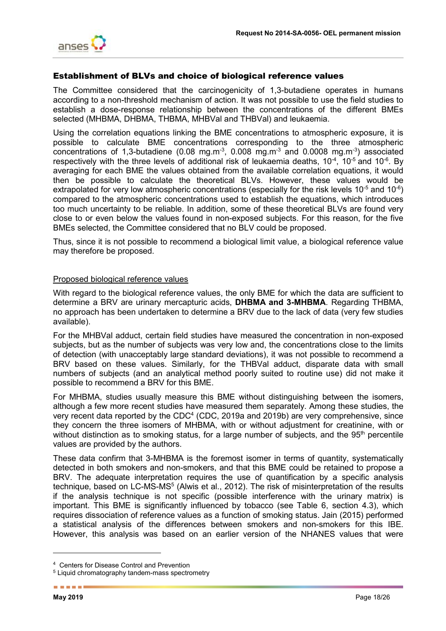

### Establishment of BLVs and choice of biological reference values

The Committee considered that the carcinogenicity of 1,3-butadiene operates in humans according to a non-threshold mechanism of action. It was not possible to use the field studies to establish a dose-response relationship between the concentrations of the different BMEs selected (MHBMA, DHBMA, THBMA, MHBVal and THBVal) and leukaemia.

Using the correlation equations linking the BME concentrations to atmospheric exposure, it is possible to calculate BME concentrations corresponding to the three atmospheric concentrations of 1,3-butadiene (0.08 mg.m<sup>-3</sup>, 0.008 mg.m<sup>-3</sup> and 0.0008 mg.m<sup>-3</sup>) associated respectively with the three levels of additional risk of leukaemia deaths, 10 $4$ , 10 $5$  and 10 $5$ . By averaging for each BME the values obtained from the available correlation equations, it would then be possible to calculate the theoretical BLVs. However, these values would be extrapolated for very low atmospheric concentrations (especially for the risk levels  $10^{-5}$  and  $10^{-6}$ ) compared to the atmospheric concentrations used to establish the equations, which introduces too much uncertainty to be reliable. In addition, some of these theoretical BLVs are found very close to or even below the values found in non-exposed subjects. For this reason, for the five BMEs selected, the Committee considered that no BLV could be proposed.

Thus, since it is not possible to recommend a biological limit value, a biological reference value may therefore be proposed.

#### Proposed biological reference values

With regard to the biological reference values, the only BME for which the data are sufficient to determine a BRV are urinary mercapturic acids, **DHBMA and 3-MHBMA**. Regarding THBMA, no approach has been undertaken to determine a BRV due to the lack of data (very few studies available).

For the MHBVal adduct, certain field studies have measured the concentration in non-exposed subjects, but as the number of subjects was very low and, the concentrations close to the limits of detection (with unacceptably large standard deviations), it was not possible to recommend a BRV based on these values. Similarly, for the THBVal adduct, disparate data with small numbers of subjects (and an analytical method poorly suited to routine use) did not make it possible to recommend a BRV for this BME.

For MHBMA, studies usually measure this BME without distinguishing between the isomers, although a few more recent studies have measured them separately. Among these studies, the very recent data reported by the CDC<sup>4</sup> (CDC, 2019a and 2019b) are very comprehensive, since they concern the three isomers of MHBMA, with or without adjustment for creatinine, with or without distinction as to smoking status, for a large number of subjects, and the 95<sup>th</sup> percentile values are provided by the authors.

These data confirm that 3-MHBMA is the foremost isomer in terms of quantity, systematically detected in both smokers and non-smokers, and that this BME could be retained to propose a BRV. The adequate interpretation requires the use of quantification by a specific analysis technique, based on LC-MS-MS<sup>5</sup> (Alwis et al., 2012). The risk of misinterpretation of the results if the analysis technique is not specific (possible interference with the urinary matrix) is important. This BME is significantly influenced by tobacco (see Table 6, section 4.3), which requires dissociation of reference values as a function of smoking status. Jain (2015) performed a statistical analysis of the differences between smokers and non-smokers for this IBE. However, this analysis was based on an earlier version of the NHANES values that were

-

<sup>4</sup> Centers for Disease Control and Prevention

<sup>5</sup> Liquid chromatography tandem-mass spectrometry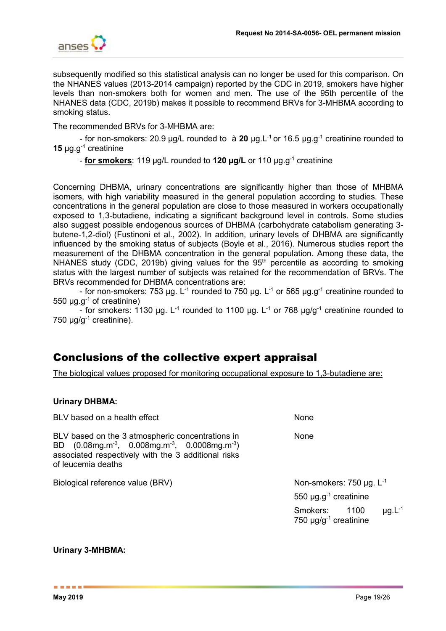

subsequently modified so this statistical analysis can no longer be used for this comparison. On the NHANES values (2013-2014 campaign) reported by the CDC in 2019, smokers have higher levels than non-smokers both for women and men. The use of the 95th percentile of the NHANES data (CDC, 2019b) makes it possible to recommend BRVs for 3-MHBMA according to smoking status.

The recommended BRVs for 3-MHBMA are:

- for non-smokers: 20.9 µg/L rounded to à **20** µg.L-1 or 16.5 µg.g-1 creatinine rounded to **15** µg.g-1 creatinine

- **for smokers**: 119 µg/L rounded to **120 µg/L** or 110 µg.g-1 creatinine

Concerning DHBMA, urinary concentrations are significantly higher than those of MHBMA isomers, with high variability measured in the general population according to studies. These concentrations in the general population are close to those measured in workers occupationally exposed to 1,3-butadiene, indicating a significant background level in controls. Some studies also suggest possible endogenous sources of DHBMA (carbohydrate catabolism generating 3 butene-1,2-diol) (Fustinoni et al., 2002). In addition, urinary levels of DHBMA are significantly influenced by the smoking status of subjects (Boyle et al., 2016). Numerous studies report the measurement of the DHBMA concentration in the general population. Among these data, the NHANES study (CDC, 2019b) giving values for the  $95<sup>th</sup>$  percentile as according to smoking status with the largest number of subjects was retained for the recommendation of BRVs. The BRVs recommended for DHBMA concentrations are:

- for non-smokers: 753 µg. L<sup>-1</sup> rounded to 750 µg. L<sup>-1</sup> or 565 µg.g<sup>-1</sup> creatinine rounded to 550  $\mu$ g.g<sup>-1</sup> of creatinine)

- for smokers: 1130 ug. L<sup>-1</sup> rounded to 1100 ug. L<sup>-1</sup> or 768 ug/g<sup>-1</sup> creatinine rounded to 750  $\mu$ g/g<sup>-1</sup> creatinine).

# Conclusions of the collective expert appraisal

The biological values proposed for monitoring occupational exposure to 1,3-butadiene are:

## **Urinary DHBMA:**

| BLV based on a health effect                                                                                                                                                           | None                                                                                  |
|----------------------------------------------------------------------------------------------------------------------------------------------------------------------------------------|---------------------------------------------------------------------------------------|
| BLV based on the 3 atmospheric concentrations in<br>BD $(0.08mg.m^{-3}, 0.008mg.m^{-3}, 0.0008mg.m^{-3})$<br>associated respectively with the 3 additional risks<br>of leucemia deaths | None                                                                                  |
| Biological reference value (BRV)                                                                                                                                                       | Non-smokers: 750 $\mu$ g. L <sup>-1</sup>                                             |
|                                                                                                                                                                                        | 550 $\mu$ g.g <sup>-1</sup> creatinine                                                |
|                                                                                                                                                                                        | $\mu$ g.L <sup>-1</sup><br>Smokers:<br>1100<br>750 $\mu$ g/g <sup>-1</sup> creatinine |

#### **Urinary 3-MHBMA:**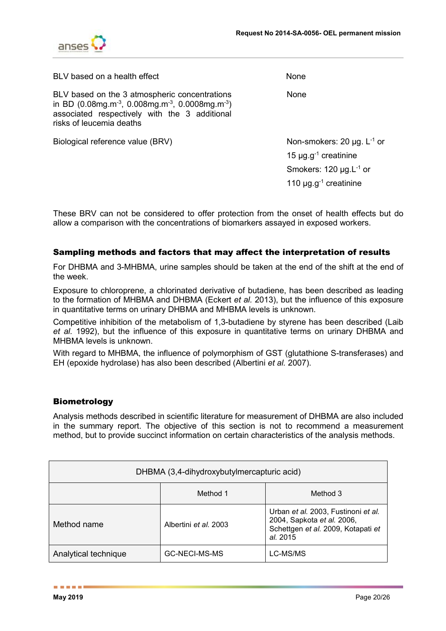

| BLV based on a health effect                                                                                                                                                                                       | None                                                                                 |
|--------------------------------------------------------------------------------------------------------------------------------------------------------------------------------------------------------------------|--------------------------------------------------------------------------------------|
| BLV based on the 3 atmospheric concentrations<br>in BD (0.08mg.m <sup>-3</sup> , 0.008mg.m <sup>-3</sup> , 0.0008mg.m <sup>-3</sup> )<br>associated respectively with the 3 additional<br>risks of leucemia deaths | None                                                                                 |
| Biological reference value (BRV)                                                                                                                                                                                   | Non-smokers: 20 $\mu$ g. L <sup>-1</sup> or<br>15 $\mu$ g.g <sup>-1</sup> creatinine |
|                                                                                                                                                                                                                    | Smokers: $120 \mu g.L^{-1}$ or                                                       |
|                                                                                                                                                                                                                    | 110 $\mu$ g.g <sup>-1</sup> creatinine                                               |

These BRV can not be considered to offer protection from the onset of health effects but do allow a comparison with the concentrations of biomarkers assayed in exposed workers.

## Sampling methods and factors that may affect the interpretation of results

For DHBMA and 3-MHBMA, urine samples should be taken at the end of the shift at the end of the week.

Exposure to chloroprene, a chlorinated derivative of butadiene, has been described as leading to the formation of MHBMA and DHBMA (Eckert *et al.* 2013), but the influence of this exposure in quantitative terms on urinary DHBMA and MHBMA levels is unknown.

Competitive inhibition of the metabolism of 1,3-butadiene by styrene has been described (Laib *et al.* 1992), but the influence of this exposure in quantitative terms on urinary DHBMA and MHBMA levels is unknown.

With regard to MHBMA, the influence of polymorphism of GST (glutathione S-transferases) and EH (epoxide hydrolase) has also been described (Albertini *et al.* 2007).

## Biometrology

Analysis methods described in scientific literature for measurement of DHBMA are also included in the summary report. The objective of this section is not to recommend a measurement method, but to provide succinct information on certain characteristics of the analysis methods.

| DHBMA (3,4-dihydroxybutylmercapturic acid) |                       |                                                                                                                     |  |
|--------------------------------------------|-----------------------|---------------------------------------------------------------------------------------------------------------------|--|
|                                            | Method 1              | Method 3                                                                                                            |  |
| Method name                                | Albertini et al. 2003 | Urban et al. 2003, Fustinoni et al.<br>2004, Sapkota et al. 2006,<br>Schettgen et al. 2009, Kotapati et<br>al. 2015 |  |
| Analytical technique                       | GC-NECI-MS-MS         | LC-MS/MS                                                                                                            |  |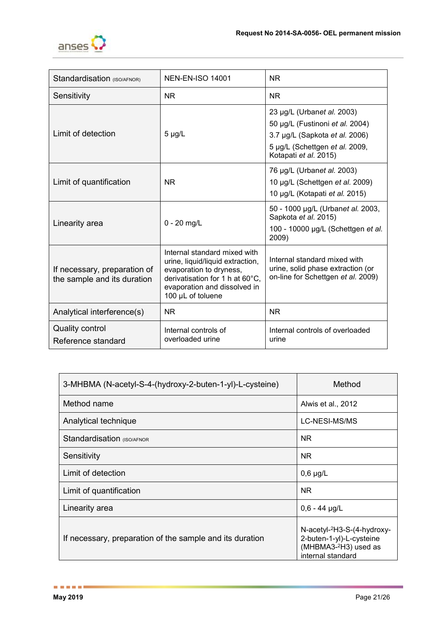

| Standardisation (ISO/AFNOR)                                 | <b>NEN-EN-ISO 14001</b>                                                                                                                                                             | <b>NR</b>                                                                                                                                                  |  |
|-------------------------------------------------------------|-------------------------------------------------------------------------------------------------------------------------------------------------------------------------------------|------------------------------------------------------------------------------------------------------------------------------------------------------------|--|
| Sensitivity                                                 | <b>NR</b>                                                                                                                                                                           | <b>NR</b>                                                                                                                                                  |  |
| Limit of detection                                          | $5 \mu g/L$                                                                                                                                                                         | 23 µg/L (Urbanet al. 2003)<br>50 µg/L (Fustinoni et al. 2004)<br>3.7 µg/L (Sapkota et al. 2006)<br>5 µg/L (Schettgen et al. 2009,<br>Kotapati et al. 2015) |  |
| Limit of quantification                                     | <b>NR</b>                                                                                                                                                                           | 76 µg/L (Urbanet al. 2003)<br>10 µg/L (Schettgen et al. 2009)<br>10 µg/L (Kotapati et al. 2015)                                                            |  |
| Linearity area                                              | $0 - 20$ mg/L                                                                                                                                                                       | 50 - 1000 μg/L (Urbanet al. 2003,<br>Sapkota et al. 2015)<br>100 - 10000 µg/L (Schettgen et al.<br>2009)                                                   |  |
| If necessary, preparation of<br>the sample and its duration | Internal standard mixed with<br>urine, liquid/liquid extraction,<br>evaporation to dryness,<br>derivatisation for 1 h at 60°C,<br>evaporation and dissolved in<br>100 µL of toluene | Internal standard mixed with<br>urine, solid phase extraction (or<br>on-line for Schettgen et al. 2009)                                                    |  |
| Analytical interference(s)                                  | <b>NR</b>                                                                                                                                                                           | <b>NR</b>                                                                                                                                                  |  |
| <b>Quality control</b><br>Reference standard                | Internal controls of<br>overloaded urine                                                                                                                                            | Internal controls of overloaded<br>urine                                                                                                                   |  |

| 3-MHBMA (N-acetyl-S-4-(hydroxy-2-buten-1-yl)-L-cysteine) | Method                                                                                                                        |  |
|----------------------------------------------------------|-------------------------------------------------------------------------------------------------------------------------------|--|
| Method name                                              | Alwis et al., 2012                                                                                                            |  |
| Analytical technique                                     | LC-NESI-MS/MS                                                                                                                 |  |
| Standardisation (ISO/AFNOR                               | NR.                                                                                                                           |  |
| Sensitivity                                              | NR.                                                                                                                           |  |
| Limit of detection                                       | $0,6 \mu g/L$                                                                                                                 |  |
| Limit of quantification                                  | <b>NR</b>                                                                                                                     |  |
| Linearity area                                           | $0,6 - 44$ µg/L                                                                                                               |  |
| If necessary, preparation of the sample and its duration | N-acetyl- <sup>2</sup> H3-S-(4-hydroxy-<br>2-buten-1-yl)-L-cysteine<br>(MHBMA3- <sup>2</sup> H3) used as<br>internal standard |  |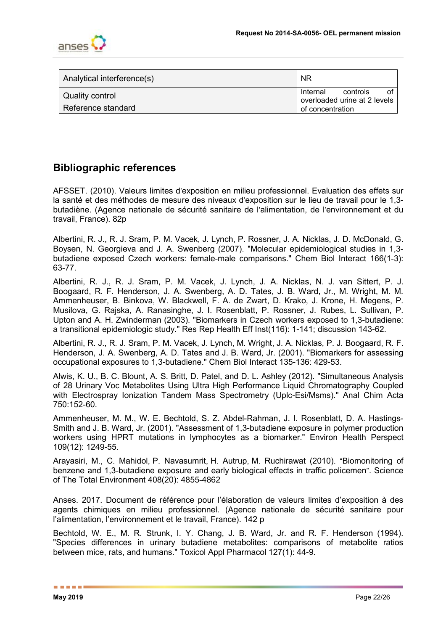

| Analytical interference(s) | <b>NR</b>                                                  |
|----------------------------|------------------------------------------------------------|
| Quality control            | controls<br>Internal<br>ΩĪ<br>overloaded urine at 2 levels |
| Reference standard         | of concentration                                           |

# **Bibliographic references**

AFSSET. (2010). Valeurs limites d'exposition en milieu professionnel. Evaluation des effets sur la santé et des méthodes de mesure des niveaux d'exposition sur le lieu de travail pour le 1,3 butadiène. (Agence nationale de sécurité sanitaire de l'alimentation, de l'environnement et du travail, France). 82p

Albertini, R. J., R. J. Sram, P. M. Vacek, J. Lynch, P. Rossner, J. A. Nicklas, J. D. McDonald, G. Boysen, N. Georgieva and J. A. Swenberg (2007). "Molecular epidemiological studies in 1,3 butadiene exposed Czech workers: female-male comparisons." Chem Biol Interact 166(1-3): 63-77.

Albertini, R. J., R. J. Sram, P. M. Vacek, J. Lynch, J. A. Nicklas, N. J. van Sittert, P. J. Boogaard, R. F. Henderson, J. A. Swenberg, A. D. Tates, J. B. Ward, Jr., M. Wright, M. M. Ammenheuser, B. Binkova, W. Blackwell, F. A. de Zwart, D. Krako, J. Krone, H. Megens, P. Musilova, G. Rajska, A. Ranasinghe, J. I. Rosenblatt, P. Rossner, J. Rubes, L. Sullivan, P. Upton and A. H. Zwinderman (2003). "Biomarkers in Czech workers exposed to 1,3-butadiene: a transitional epidemiologic study." Res Rep Health Eff Inst(116): 1-141; discussion 143-62.

Albertini, R. J., R. J. Sram, P. M. Vacek, J. Lynch, M. Wright, J. A. Nicklas, P. J. Boogaard, R. F. Henderson, J. A. Swenberg, A. D. Tates and J. B. Ward, Jr. (2001). "Biomarkers for assessing occupational exposures to 1,3-butadiene." Chem Biol Interact 135-136: 429-53.

Alwis, K. U., B. C. Blount, A. S. Britt, D. Patel, and D. L. Ashley (2012). "Simultaneous Analysis of 28 Urinary Voc Metabolites Using Ultra High Performance Liquid Chromatography Coupled with Electrospray Ionization Tandem Mass Spectrometry (Uplc-Esi/Msms)." Anal Chim Acta 750:152-60.

Ammenheuser, M. M., W. E. Bechtold, S. Z. Abdel-Rahman, J. I. Rosenblatt, D. A. Hastings-Smith and J. B. Ward, Jr. (2001). "Assessment of 1,3-butadiene exposure in polymer production workers using HPRT mutations in lymphocytes as a biomarker." Environ Health Perspect 109(12): 1249-55.

Arayasiri, M., C. Mahidol, P. [Navasumrit,](https://www.ncbi.nlm.nih.gov/pubmed/?term=Navasumrit%20P%5BAuthor%5D&cauthor=true&cauthor_uid=20627202) H. [Autrup,](https://www.ncbi.nlm.nih.gov/pubmed/?term=Autrup%20H%5BAuthor%5D&cauthor=true&cauthor_uid=20627202) M. [Ruchirawat \(2010\).](https://www.ncbi.nlm.nih.gov/pubmed/?term=Ruchirawat%20M%5BAuthor%5D&cauthor=true&cauthor_uid=20627202) "Biomonitoring of benzene and 1,3-butadiene exposure and early biological effects in traffic policemen". [Science](http://www.sciencedirect.com/science/journal/00489697)  [of The Total Environment](http://www.sciencedirect.com/science/journal/00489697) 408(20): 4855-4862

Anses. 2017. Document de référence pour l'élaboration de valeurs limites d'exposition à des agents chimiques en milieu professionnel. (Agence nationale de sécurité sanitaire pour l'alimentation, l'environnement et le travail, France). 142 p

Bechtold, W. E., M. R. Strunk, I. Y. Chang, J. B. Ward, Jr. and R. F. Henderson (1994). "Species differences in urinary butadiene metabolites: comparisons of metabolite ratios between mice, rats, and humans." Toxicol Appl Pharmacol 127(1): 44-9.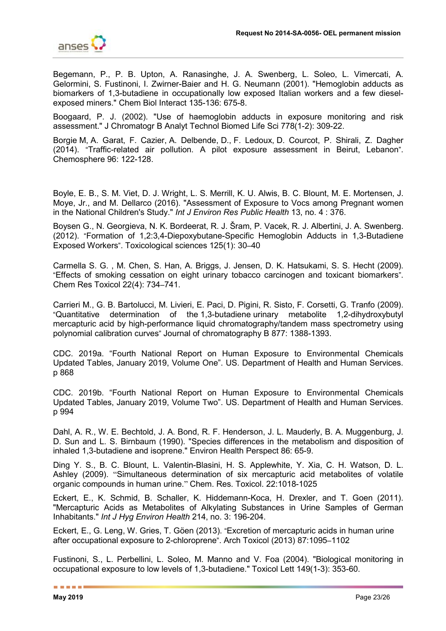

Begemann, P., P. B. Upton, A. Ranasinghe, J. A. Swenberg, L. Soleo, L. Vimercati, A. Gelormini, S. Fustinoni, I. Zwirner-Baier and H. G. Neumann (2001). "Hemoglobin adducts as biomarkers of 1,3-butadiene in occupationally low exposed Italian workers and a few dieselexposed miners." Chem Biol Interact 135-136: 675-8.

Boogaard, P. J. (2002). "Use of haemoglobin adducts in exposure monitoring and risk assessment." J Chromatogr B Analyt Technol Biomed Life Sci 778(1-2): 309-22.

[Borgie](https://www.ncbi.nlm.nih.gov/pubmed/?term=Borgie%20M%5BAuthor%5D&cauthor=true&cauthor_uid=24184043) M, A. Garat, F. Cazier, A. Delbende, D., F. [Ledoux,](https://www.ncbi.nlm.nih.gov/pubmed/?term=Ledoux%20F%5BAuthor%5D&cauthor=true&cauthor_uid=24184043) D. [Courcot,](https://www.ncbi.nlm.nih.gov/pubmed/?term=Courcot%20D%5BAuthor%5D&cauthor=true&cauthor_uid=24184043) P. Shirali, Z. Dagher (2014). "Traffic-related air pollution. A pilot exposure assessment in Beirut, Lebanon". [Chemosphere](http://www.sciencedirect.com/science/journal/00456535) 96: 122-128.

Boyle, E. B., S. M. Viet, D. J. Wright, L. S. Merrill, K. U. Alwis, B. C. Blount, M. E. Mortensen, J. Moye, Jr., and M. Dellarco (2016). "Assessment of Exposure to Vocs among Pregnant women in the National Children's Study." *Int J Environ Res Public Health* 13, no. 4 : 376.

Boysen G., [N. Georgieva,](https://www.ncbi.nlm.nih.gov/pubmed/?term=Georgieva%20NI%5BAuthor%5D&cauthor=true&cauthor_uid=22003190) N. K. Bordeerat, [R. J. Šram,](https://www.ncbi.nlm.nih.gov/pubmed/?term=%26%23x00160%3Bram%20RJ%5BAuthor%5D&cauthor=true&cauthor_uid=22003190) [P. Vacek,](https://www.ncbi.nlm.nih.gov/pubmed/?term=Vacek%20P%5BAuthor%5D&cauthor=true&cauthor_uid=22003190) [R. J. Albertini,](https://www.ncbi.nlm.nih.gov/pubmed/?term=Albertini%20RJ%5BAuthor%5D&cauthor=true&cauthor_uid=22003190) J. A. [Swenberg.](https://www.ncbi.nlm.nih.gov/pubmed/?term=Swenberg%20JA%5BAuthor%5D&cauthor=true&cauthor_uid=22003190) (2012). "Formation of 1,2:3,4-Diepoxybutane-Specific Hemoglobin Adducts in 1,3-Butadiene Exposed Workers". Toxicological sciences 125(1): 30–40

Carmella S. G. , M. Chen, S. Han, A. Briggs, J. Jensen, D. K. Hatsukami, S. S. Hecht (2009). "Effects of smoking cessation on eight urinary tobacco carcinogen and toxicant biomarkers". Chem Res Toxicol 22(4): 734–741.

Carrieri M., G. B. Bartolucci, M. Livieri, E. Paci, D. Pigini, R. Sisto, F. Corsetti, G. Tranfo (2009). "Quantitative determination of the 1,3-butadiene urinary metabolite 1,2-dihydroxybutyl mercapturic acid by high-performance liquid chromatography/tandem mass spectrometry using polynomial calibration curves" Journal of chromatography B 877: 1388-1393.

CDC. 2019a. "Fourth National Report on Human Exposure to Environmental Chemicals Updated Tables, January 2019, Volume One". US. Department of Health and Human Services. p 868

CDC. 2019b. "Fourth National Report on Human Exposure to Environmental Chemicals Updated Tables, January 2019, Volume Two". US. Department of Health and Human Services. p 994

Dahl, A. R., W. E. Bechtold, J. A. Bond, R. F. Henderson, J. L. Mauderly, B. A. Muggenburg, J. D. Sun and L. S. Birnbaum (1990). "Species differences in the metabolism and disposition of inhaled 1,3-butadiene and isoprene." Environ Health Perspect 86: 65-9.

Ding Y. S., B. C. Blount, L. Valentin-Blasini, H. S. Applewhite, Y. Xia, C. H. Watson, D. L. Ashley (2009). "Simultaneous determination of six mercapturic acid metabolites of volatile organic compounds in human urine." Chem. Res. Toxicol. 22:1018-1025

Eckert, E., K. Schmid, B. Schaller, K. Hiddemann-Koca, H. Drexler, and T. Goen (2011). "Mercapturic Acids as Metabolites of Alkylating Substances in Urine Samples of German Inhabitants." *Int J Hyg Environ Health* 214, no. 3: 196-204.

Eckert, E., G. Leng, W. Gries, T. Göen (2013). "Excretion of mercapturic acids in human urine after occupational exposure to 2-chloroprene". Arch Toxicol (2013) 87:1095–1102

Fustinoni, S., L. Perbellini, L. Soleo, M. Manno and V. Foa (2004). "Biological monitoring in occupational exposure to low levels of 1,3-butadiene." Toxicol Lett 149(1-3): 353-60.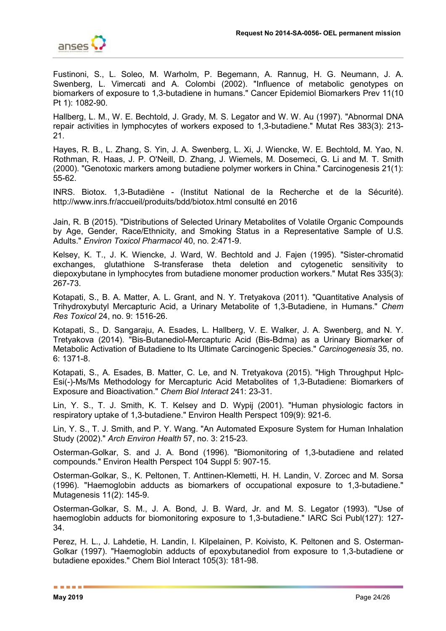

Fustinoni, S., L. Soleo, M. Warholm, P. Begemann, A. Rannug, H. G. Neumann, J. A. Swenberg, L. Vimercati and A. Colombi (2002). "Influence of metabolic genotypes on biomarkers of exposure to 1,3-butadiene in humans." Cancer Epidemiol Biomarkers Prev 11(10 Pt 1): 1082-90.

Hallberg, L. M., W. E. Bechtold, J. Grady, M. S. Legator and W. W. Au (1997). "Abnormal DNA repair activities in lymphocytes of workers exposed to 1,3-butadiene." Mutat Res 383(3): 213- 21.

Hayes, R. B., L. Zhang, S. Yin, J. A. Swenberg, L. Xi, J. Wiencke, W. E. Bechtold, M. Yao, N. Rothman, R. Haas, J. P. O'Neill, D. Zhang, J. Wiemels, M. Dosemeci, G. Li and M. T. Smith (2000). "Genotoxic markers among butadiene polymer workers in China." Carcinogenesis 21(1): 55-62.

INRS. Biotox. 1,3-Butadiène - (Institut National de la Recherche et de la Sécurité). http://www.inrs.fr/accueil/produits/bdd/biotox.html consulté en 2016

Jain, R. B (2015). "Distributions of Selected Urinary Metabolites of Volatile Organic Compounds by Age, Gender, Race/Ethnicity, and Smoking Status in a Representative Sample of U.S. Adults." *Environ Toxicol Pharmacol* 40, no. 2:471-9.

Kelsey, K. T., J. K. Wiencke, J. Ward, W. Bechtold and J. Fajen (1995). "Sister-chromatid exchanges, glutathione S-transferase theta deletion and cytogenetic sensitivity to diepoxybutane in lymphocytes from butadiene monomer production workers." Mutat Res 335(3): 267-73.

Kotapati, S., B. A. Matter, A. L. Grant, and N. Y. Tretyakova (2011). "Quantitative Analysis of Trihydroxybutyl Mercapturic Acid, a Urinary Metabolite of 1,3-Butadiene, in Humans." *Chem Res Toxicol* 24, no. 9: 1516-26.

Kotapati, S., D. Sangaraju, A. Esades, L. Hallberg, V. E. Walker, J. A. Swenberg, and N. Y. Tretyakova (2014). "Bis-Butanediol-Mercapturic Acid (Bis-Bdma) as a Urinary Biomarker of Metabolic Activation of Butadiene to Its Ultimate Carcinogenic Species." *Carcinogenesis* 35, no. 6: 1371-8.

Kotapati, S., A. Esades, B. Matter, C. Le, and N. Tretyakova (2015). "High Throughput Hplc-Esi(-)-Ms/Ms Methodology for Mercapturic Acid Metabolites of 1,3-Butadiene: Biomarkers of Exposure and Bioactivation." *Chem Biol Interact* 241: 23-31.

Lin, Y. S., T. J. Smith, K. T. Kelsey and D. Wypij (2001). "Human physiologic factors in respiratory uptake of 1,3-butadiene." Environ Health Perspect 109(9): 921-6.

Lin, Y. S., T. J. Smith, and P. Y. Wang. "An Automated Exposure System for Human Inhalation Study (2002)." *Arch Environ Health* 57, no. 3: 215-23.

Osterman-Golkar, S. and J. A. Bond (1996). "Biomonitoring of 1,3-butadiene and related compounds." Environ Health Perspect 104 Suppl 5: 907-15.

Osterman-Golkar, S., K. Peltonen, T. Anttinen-Klemetti, H. H. Landin, V. Zorcec and M. Sorsa (1996). "Haemoglobin adducts as biomarkers of occupational exposure to 1,3-butadiene." Mutagenesis 11(2): 145-9.

Osterman-Golkar, S. M., J. A. Bond, J. B. Ward, Jr. and M. S. Legator (1993). "Use of haemoglobin adducts for biomonitoring exposure to 1,3-butadiene." IARC Sci Publ(127): 127- 34.

Perez, H. L., J. Lahdetie, H. Landin, I. Kilpelainen, P. Koivisto, K. Peltonen and S. Osterman-Golkar (1997). "Haemoglobin adducts of epoxybutanediol from exposure to 1,3-butadiene or butadiene epoxides." Chem Biol Interact 105(3): 181-98.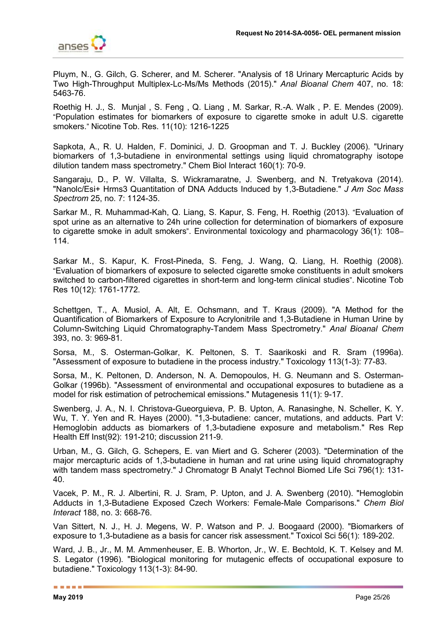

Pluym, N., G. Gilch, G. Scherer, and M. Scherer. "Analysis of 18 Urinary Mercapturic Acids by Two High-Throughput Multiplex-Lc-Ms/Ms Methods (2015)." *Anal Bioanal Chem* 407, no. 18: 5463-76.

Roethig H. J., S. Munjal , S. Feng , Q. Liang , M. Sarkar, R.-A. Walk , P. E. Mendes (2009). "Population estimates for biomarkers of exposure to cigarette smoke in adult U.S. cigarette smokers." Nicotine Tob. Res. 11(10): 1216-1225

Sapkota, A., R. U. Halden, F. Dominici, J. D. Groopman and T. J. Buckley (2006). "Urinary biomarkers of 1,3-butadiene in environmental settings using liquid chromatography isotope dilution tandem mass spectrometry." Chem Biol Interact 160(1): 70-9.

Sangaraju, D., P. W. Villalta, S. Wickramaratne, J. Swenberg, and N. Tretyakova (2014). "Nanolc/Esi+ Hrms3 Quantitation of DNA Adducts Induced by 1,3-Butadiene." *J Am Soc Mass Spectrom* 25, no. 7: 1124-35.

Sarkar M., R. Muhammad-Kah, Q. Liang, S. Kapur, S. Feng, H. Roethig (2013). "Evaluation of spot urine as an alternative to 24h urine collection for determination of biomarkers of exposure to cigarette smoke in adult smokers". Environmental toxicology and pharmacology 36(1): 108– 114.

Sarkar M., S. Kapur, K. Frost-Pineda, S. Feng, J. Wang, Q. Liang, H. Roethig (2008). "Evaluation of biomarkers of exposure to selected cigarette smoke constituents in adult smokers switched to carbon-filtered cigarettes in short-term and long-term clinical studies". Nicotine Tob Res 10(12): 1761-1772.

Schettgen, T., A. Musiol, A. Alt, E. Ochsmann, and T. Kraus (2009). "A Method for the Quantification of Biomarkers of Exposure to Acrylonitrile and 1,3-Butadiene in Human Urine by Column-Switching Liquid Chromatography-Tandem Mass Spectrometry." *Anal Bioanal Chem*  393, no. 3: 969-81.

Sorsa, M., S. Osterman-Golkar, K. Peltonen, S. T. Saarikoski and R. Sram (1996a). "Assessment of exposure to butadiene in the process industry." Toxicology 113(1-3): 77-83.

Sorsa, M., K. Peltonen, D. Anderson, N. A. Demopoulos, H. G. Neumann and S. Osterman-Golkar (1996b). "Assessment of environmental and occupational exposures to butadiene as a model for risk estimation of petrochemical emissions." Mutagenesis 11(1): 9-17.

Swenberg, J. A., N. I. Christova-Gueorguieva, P. B. Upton, A. Ranasinghe, N. Scheller, K. Y. Wu, T. Y. Yen and R. Hayes (2000). "1,3-butadiene: cancer, mutations, and adducts. Part V: Hemoglobin adducts as biomarkers of 1,3-butadiene exposure and metabolism." Res Rep Health Eff Inst(92): 191-210; discussion 211-9.

Urban, M., G. Gilch, G. Schepers, E. van Miert and G. Scherer (2003). "Determination of the major mercapturic acids of 1,3-butadiene in human and rat urine using liquid chromatography with tandem mass spectrometry." J Chromatogr B Analyt Technol Biomed Life Sci 796(1): 131-40.

Vacek, P. M., R. J. Albertini, R. J. Sram, P. Upton, and J. A. Swenberg (2010). "Hemoglobin Adducts in 1,3-Butadiene Exposed Czech Workers: Female-Male Comparisons." *Chem Biol Interact* 188, no. 3: 668-76.

Van Sittert, N. J., H. J. Megens, W. P. Watson and P. J. Boogaard (2000). "Biomarkers of exposure to 1,3-butadiene as a basis for cancer risk assessment." Toxicol Sci 56(1): 189-202.

Ward, J. B., Jr., M. M. Ammenheuser, E. B. Whorton, Jr., W. E. Bechtold, K. T. Kelsey and M. S. Legator (1996). "Biological monitoring for mutagenic effects of occupational exposure to butadiene." Toxicology 113(1-3): 84-90.